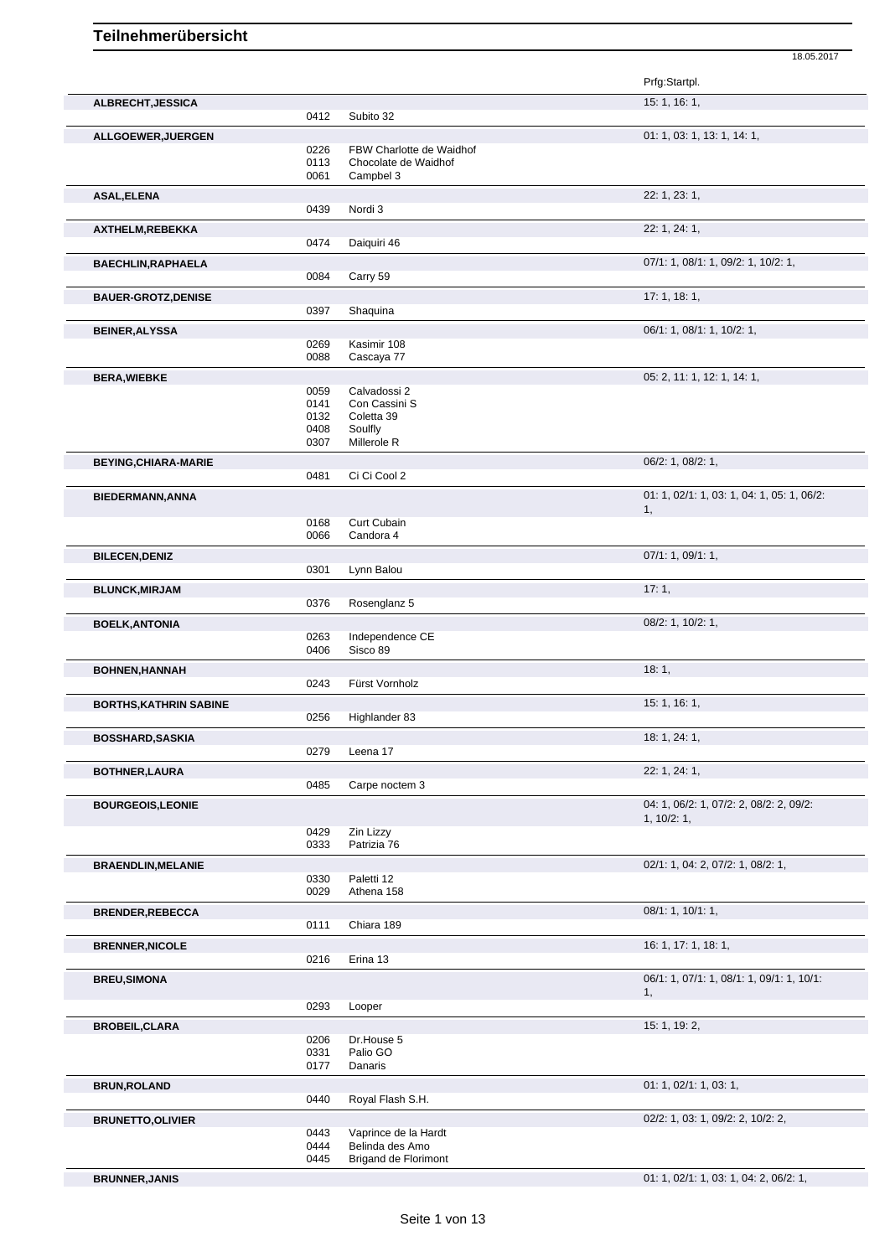|                               |              |                                         | Prfg:Startpl.                                          |
|-------------------------------|--------------|-----------------------------------------|--------------------------------------------------------|
| ALBRECHT, JESSICA             |              |                                         | 15: 1, 16: 1,                                          |
|                               | 0412         | Subito 32                               |                                                        |
| ALLGOEWER, JUERGEN            |              |                                         | 01: 1, 03: 1, 13: 1, 14: 1,                            |
|                               | 0226         | FBW Charlotte de Waidhof                |                                                        |
|                               | 0113<br>0061 | Chocolate de Waidhof<br>Campbel 3       |                                                        |
|                               |              |                                         |                                                        |
| <b>ASAL, ELENA</b>            | 0439         | Nordi 3                                 | 22: 1, 23: 1,                                          |
|                               |              |                                         |                                                        |
| AXTHELM, REBEKKA              | 0474         | Daiquiri 46                             | 22: 1, 24: 1,                                          |
|                               |              |                                         |                                                        |
| <b>BAECHLIN, RAPHAELA</b>     | 0084         | Carry 59                                | 07/1: 1, 08/1: 1, 09/2: 1, 10/2: 1,                    |
|                               |              |                                         |                                                        |
| <b>BAUER-GROTZ, DENISE</b>    | 0397         | Shaquina                                | 17:1, 18:1,                                            |
|                               |              |                                         |                                                        |
| <b>BEINER, ALYSSA</b>         |              |                                         | 06/1: 1, 08/1: 1, 10/2: 1,                             |
|                               | 0269<br>0088 | Kasimir 108<br>Cascaya 77               |                                                        |
|                               |              |                                         |                                                        |
| <b>BERA, WIEBKE</b>           |              | Calvadossi 2                            | 05: 2, 11: 1, 12: 1, 14: 1,                            |
|                               | 0059<br>0141 | Con Cassini S                           |                                                        |
|                               | 0132         | Coletta 39                              |                                                        |
|                               | 0408         | Soulfly                                 |                                                        |
|                               | 0307         | Millerole R                             |                                                        |
| <b>BEYING, CHIARA-MARIE</b>   |              |                                         | $06/2$ : 1, $08/2$ : 1,                                |
|                               | 0481         | Ci Ci Cool 2                            |                                                        |
| <b>BIEDERMANN, ANNA</b>       |              |                                         | 01: 1, 02/1: 1, 03: 1, 04: 1, 05: 1, 06/2:             |
|                               |              |                                         | 1,                                                     |
|                               | 0168         | Curt Cubain                             |                                                        |
|                               | 0066         | Candora 4                               |                                                        |
| <b>BILECEN, DENIZ</b>         |              |                                         | 07/1: 1, 09/1: 1,                                      |
|                               | 0301         | Lynn Balou                              |                                                        |
| <b>BLUNCK, MIRJAM</b>         |              |                                         | 17:1,                                                  |
|                               | 0376         | Rosenglanz 5                            |                                                        |
| <b>BOELK, ANTONIA</b>         |              |                                         | $08/2$ : 1, 10/2: 1,                                   |
|                               | 0263<br>0406 | Independence CE<br>Sisco 89             |                                                        |
|                               |              |                                         |                                                        |
| <b>BOHNEN, HANNAH</b>         | 0243         | Fürst Vornholz                          | 18:1,                                                  |
|                               |              |                                         |                                                        |
| <b>BORTHS, KATHRIN SABINE</b> | 0256         | Highlander 83                           | 15: 1, 16: 1,                                          |
|                               |              |                                         |                                                        |
| <b>BOSSHARD, SASKIA</b>       | 0279         | Leena 17                                | 18: 1, 24: 1,                                          |
|                               |              |                                         |                                                        |
| <b>BOTHNER, LAURA</b>         |              |                                         | 22: 1, 24: 1,                                          |
|                               | 0485         | Carpe noctem 3                          |                                                        |
| <b>BOURGEOIS, LEONIE</b>      |              |                                         | 04: 1, 06/2: 1, 07/2: 2, 08/2: 2, 09/2:<br>1, 10/2: 1, |
|                               | 0429         | Zin Lizzy                               |                                                        |
|                               | 0333         | Patrizia 76                             |                                                        |
| <b>BRAENDLIN, MELANIE</b>     |              |                                         | 02/1: 1, 04: 2, 07/2: 1, 08/2: 1,                      |
|                               | 0330         | Paletti 12                              |                                                        |
|                               | 0029         | Athena 158                              |                                                        |
| <b>BRENDER, REBECCA</b>       |              |                                         | 08/1: 1, 10/1: 1,                                      |
|                               | 0111         | Chiara 189                              |                                                        |
| <b>BRENNER, NICOLE</b>        |              |                                         | 16: 1, 17: 1, 18: 1,                                   |
|                               | 0216         | Erina 13                                |                                                        |
| <b>BREU, SIMONA</b>           |              |                                         | 06/1: 1, 07/1: 1, 08/1: 1, 09/1: 1, 10/1:              |
|                               |              |                                         | 1,                                                     |
|                               | 0293         | Looper                                  |                                                        |
| <b>BROBEIL, CLARA</b>         |              |                                         | 15: 1, 19: 2,                                          |
|                               | 0206         | Dr.House 5                              |                                                        |
|                               | 0331         | Palio GO                                |                                                        |
|                               | 0177         | Danaris                                 |                                                        |
| <b>BRUN, ROLAND</b>           |              |                                         | 01: 1, 02/1: 1, 03: 1,                                 |
|                               | 0440         | Royal Flash S.H.                        |                                                        |
| <b>BRUNETTO, OLIVIER</b>      |              |                                         | 02/2: 1, 03: 1, 09/2: 2, 10/2: 2,                      |
|                               | 0443<br>0444 | Vaprince de la Hardt<br>Belinda des Amo |                                                        |
|                               | 0445         | <b>Brigand de Florimont</b>             |                                                        |
|                               |              |                                         |                                                        |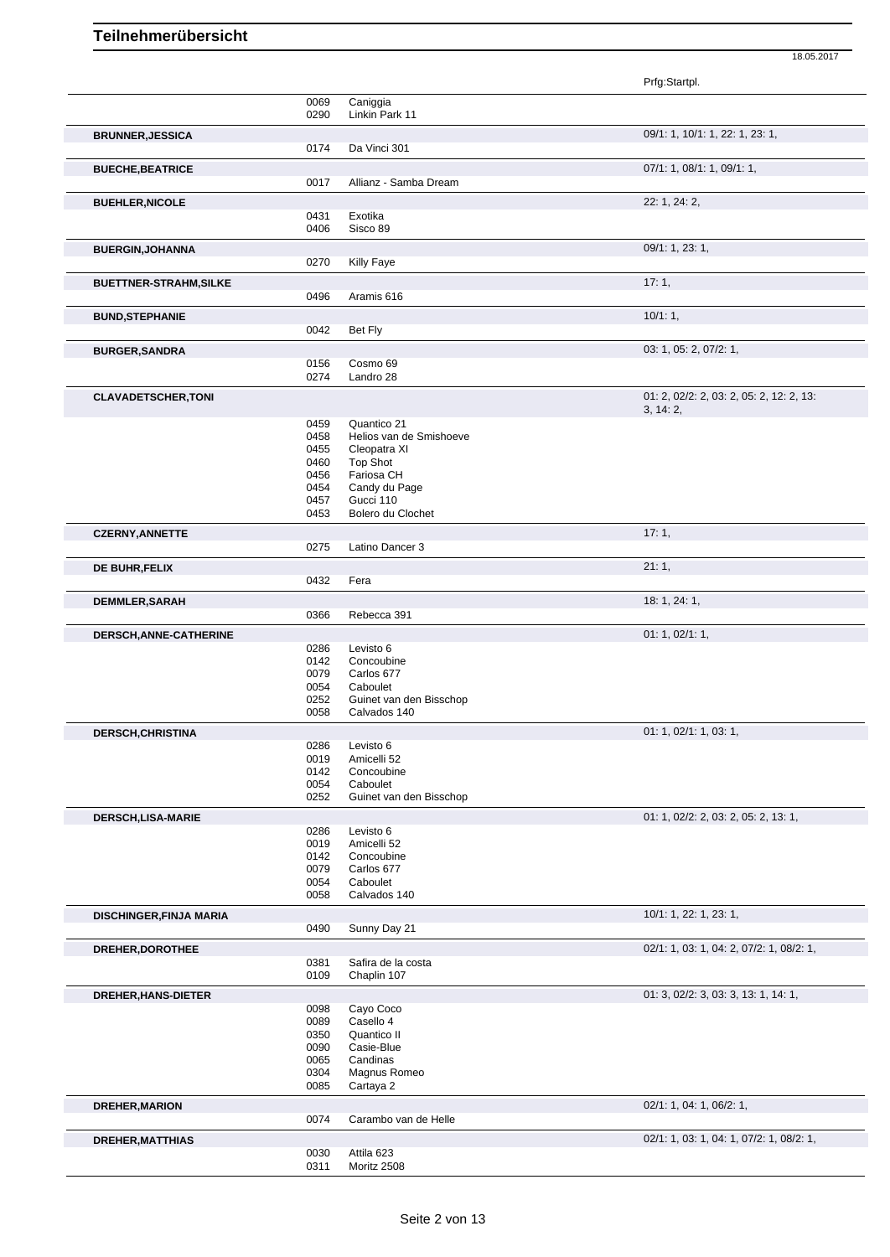|                                |              |                                         | 18.05.2017                               |  |
|--------------------------------|--------------|-----------------------------------------|------------------------------------------|--|
|                                |              |                                         | Prfg:Startpl.                            |  |
|                                | 0069         | Caniggia                                |                                          |  |
|                                | 0290         | Linkin Park 11                          |                                          |  |
| <b>BRUNNER, JESSICA</b>        |              |                                         | 09/1: 1, 10/1: 1, 22: 1, 23: 1,          |  |
|                                | 0174         | Da Vinci 301                            |                                          |  |
| <b>BUECHE, BEATRICE</b>        | 0017         | Allianz - Samba Dream                   | 07/1: 1, 08/1: 1, 09/1: 1,               |  |
|                                |              |                                         | 22: 1, 24: 2,                            |  |
| <b>BUEHLER, NICOLE</b>         | 0431         | Exotika                                 |                                          |  |
|                                | 0406         | Sisco 89                                |                                          |  |
| <b>BUERGIN, JOHANNA</b>        |              |                                         | 09/1: 1, 23: 1,                          |  |
|                                | 0270         | Killy Faye                              |                                          |  |
| <b>BUETTNER-STRAHM, SILKE</b>  |              |                                         | 17:1,                                    |  |
|                                | 0496         | Aramis 616                              |                                          |  |
| <b>BUND, STEPHANIE</b>         |              |                                         | 10/1:1,                                  |  |
|                                | 0042         | Bet Fly                                 |                                          |  |
| <b>BURGER, SANDRA</b>          | 0156         | Cosmo 69                                | 03: 1, 05: 2, 07/2: 1,                   |  |
|                                | 0274         | Landro 28                               |                                          |  |
| <b>CLAVADETSCHER, TONI</b>     |              |                                         | 01: 2, 02/2: 2, 03: 2, 05: 2, 12: 2, 13: |  |
|                                |              |                                         | 3, 14:2,                                 |  |
|                                | 0459<br>0458 | Quantico 21<br>Helios van de Smishoeve  |                                          |  |
|                                | 0455         | Cleopatra XI                            |                                          |  |
|                                | 0460         | <b>Top Shot</b>                         |                                          |  |
|                                | 0456         | Fariosa CH                              |                                          |  |
|                                | 0454<br>0457 | Candy du Page<br>Gucci 110              |                                          |  |
|                                | 0453         | Bolero du Clochet                       |                                          |  |
| <b>CZERNY, ANNETTE</b>         |              |                                         | 17:1,                                    |  |
|                                | 0275         | Latino Dancer 3                         |                                          |  |
| DE BUHR, FELIX                 |              |                                         | 21:1,                                    |  |
|                                | 0432         | Fera                                    |                                          |  |
| DEMMLER, SARAH                 |              |                                         | 18: 1, 24: 1,                            |  |
|                                | 0366         | Rebecca 391                             |                                          |  |
| DERSCH, ANNE-CATHERINE         | 0286         | Levisto 6                               | 01: 1, 02/1: 1,                          |  |
|                                | 0142         | Concoubine                              |                                          |  |
|                                | 0079         | Carlos 677                              |                                          |  |
|                                | 0054         | Caboulet                                |                                          |  |
|                                | 0252<br>0058 | Guinet van den Bisschop<br>Calvados 140 |                                          |  |
|                                |              |                                         |                                          |  |
| <b>DERSCH, CHRISTINA</b>       | 0286         | Levisto 6                               | 01: 1, 02/1: 1, 03: 1,                   |  |
|                                | 0019         | Amicelli 52                             |                                          |  |
|                                | 0142         | Concoubine                              |                                          |  |
|                                | 0054<br>0252 | Caboulet<br>Guinet van den Bisschop     |                                          |  |
| DERSCH, LISA-MARIE             |              |                                         | 01: 1, 02/2: 2, 03: 2, 05: 2, 13: 1,     |  |
|                                | 0286         | Levisto 6                               |                                          |  |
|                                | 0019         | Amicelli 52                             |                                          |  |
|                                | 0142<br>0079 | Concoubine<br>Carlos 677                |                                          |  |
|                                | 0054         | Caboulet                                |                                          |  |
|                                | 0058         | Calvados 140                            |                                          |  |
| <b>DISCHINGER, FINJA MARIA</b> |              |                                         | 10/1: 1, 22: 1, 23: 1,                   |  |
|                                | 0490         | Sunny Day 21                            |                                          |  |
| DREHER, DOROTHEE               |              |                                         | 02/1: 1, 03: 1, 04: 2, 07/2: 1, 08/2: 1, |  |
|                                | 0381         | Safira de la costa                      |                                          |  |
|                                | 0109         | Chaplin 107                             |                                          |  |
| DREHER, HANS-DIETER            | 0098         | Cayo Coco                               | 01: 3, 02/2: 3, 03: 3, 13: 1, 14: 1,     |  |
|                                | 0089         | Casello 4                               |                                          |  |
|                                | 0350         | Quantico II                             |                                          |  |
|                                | 0090         | Casie-Blue                              |                                          |  |
|                                | 0065         | Candinas                                |                                          |  |
|                                | 0304<br>0085 | Magnus Romeo<br>Cartaya 2               |                                          |  |
| <b>DREHER, MARION</b>          |              |                                         | 02/1: 1, 04: 1, 06/2: 1,                 |  |
|                                | 0074         | Carambo van de Helle                    |                                          |  |
| <b>DREHER, MATTHIAS</b>        |              |                                         | 02/1: 1, 03: 1, 04: 1, 07/2: 1, 08/2: 1, |  |
|                                | 0030         | Attila 623                              |                                          |  |
|                                | 0311         | Moritz 2508                             |                                          |  |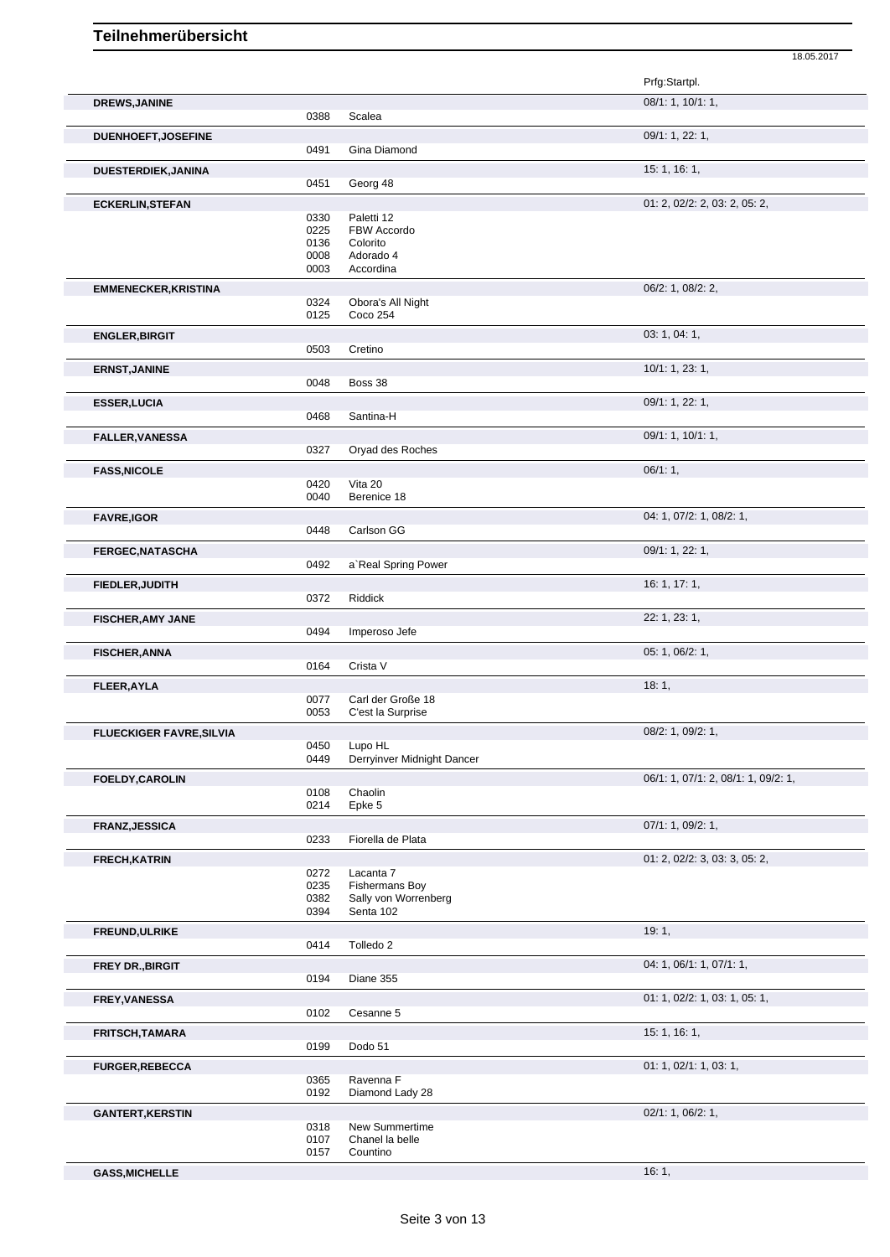|                                 |              |                                               | Prfg:Startpl.                       |
|---------------------------------|--------------|-----------------------------------------------|-------------------------------------|
| <b>DREWS, JANINE</b>            |              |                                               | 08/1: 1, 10/1: 1,                   |
|                                 | 0388         | Scalea                                        |                                     |
| <b>DUENHOEFT, JOSEFINE</b>      |              |                                               | 09/1: 1, 22: 1,                     |
|                                 | 0491         | Gina Diamond                                  |                                     |
| DUESTERDIEK, JANINA             |              |                                               | 15: 1, 16: 1,                       |
|                                 | 0451         | Georg 48                                      |                                     |
| <b>ECKERLIN, STEFAN</b>         |              |                                               | 01: 2, 02/2: 2, 03: 2, 05: 2,       |
|                                 | 0330<br>0225 | Paletti 12<br>FBW Accordo                     |                                     |
|                                 | 0136         | Colorito                                      |                                     |
|                                 | 0008         | Adorado 4                                     |                                     |
|                                 | 0003         | Accordina                                     |                                     |
| <b>EMMENECKER, KRISTINA</b>     |              |                                               | 06/2: 1, 08/2: 2,                   |
|                                 | 0324<br>0125 | Obora's All Night<br>Coco 254                 |                                     |
|                                 |              |                                               |                                     |
| <b>ENGLER, BIRGIT</b>           | 0503         | Cretino                                       | 03: 1, 04: 1,                       |
|                                 |              |                                               |                                     |
| <b>ERNST, JANINE</b>            | 0048         | Boss 38                                       | 10/1: 1, 23: 1,                     |
|                                 |              |                                               |                                     |
| <b>ESSER, LUCIA</b>             | 0468         | Santina-H                                     | 09/1: 1, 22: 1,                     |
|                                 |              |                                               |                                     |
| <b>FALLER, VANESSA</b>          | 0327         | Oryad des Roches                              | 09/1: 1, 10/1: 1,                   |
|                                 |              |                                               |                                     |
| <b>FASS, NICOLE</b>             | 0420         | Vita 20                                       | 06/1:1,                             |
|                                 | 0040         | Berenice 18                                   |                                     |
| <b>FAVRE,IGOR</b>               |              |                                               | 04: 1, 07/2: 1, 08/2: 1,            |
|                                 | 0448         | Carlson GG                                    |                                     |
| <b>FERGEC, NATASCHA</b>         |              |                                               | 09/1: 1, 22: 1,                     |
|                                 | 0492         | a' Real Spring Power                          |                                     |
| FIEDLER, JUDITH                 |              |                                               | 16: 1, 17: 1,                       |
|                                 | 0372         | Riddick                                       |                                     |
| <b>FISCHER, AMY JANE</b>        |              |                                               | 22: 1, 23: 1,                       |
|                                 | 0494         | Imperoso Jefe                                 |                                     |
| <b>FISCHER, ANNA</b>            |              |                                               | 05: 1, 06/2: 1,                     |
|                                 | 0164         | Crista V                                      |                                     |
| <b>FLEER, AYLA</b>              |              |                                               | 18:1,                               |
|                                 | 0077         | Carl der Große 18                             |                                     |
|                                 | 0053         | C'est la Surprise                             |                                     |
| <b>FLUECKIGER FAVRE, SILVIA</b> |              |                                               | 08/2: 1, 09/2: 1,                   |
|                                 | 0450<br>0449 | Lupo HL<br>Derryinver Midnight Dancer         |                                     |
|                                 |              |                                               |                                     |
| <b>FOELDY, CAROLIN</b>          | 0108         | Chaolin                                       | 06/1: 1, 07/1: 2, 08/1: 1, 09/2: 1, |
|                                 | 0214         | Epke 5                                        |                                     |
| <b>FRANZ, JESSICA</b>           |              |                                               | 07/1: 1, 09/2: 1,                   |
|                                 | 0233         | Fiorella de Plata                             |                                     |
| <b>FRECH, KATRIN</b>            |              |                                               | 01: 2, 02/2: 3, 03: 3, 05: 2,       |
|                                 | 0272         | Lacanta 7                                     |                                     |
|                                 | 0235<br>0382 | <b>Fishermans Boy</b><br>Sally von Worrenberg |                                     |
|                                 | 0394         | Senta 102                                     |                                     |
| FREUND, ULRIKE                  |              |                                               | 19:1,                               |
|                                 | 0414         | Tolledo <sub>2</sub>                          |                                     |
| <b>FREY DR., BIRGIT</b>         |              |                                               | 04: 1, 06/1: 1, 07/1: 1,            |
|                                 | 0194         | Diane 355                                     |                                     |
| <b>FREY, VANESSA</b>            |              |                                               | 01: 1, 02/2: 1, 03: 1, 05: 1,       |
|                                 | 0102         | Cesanne 5                                     |                                     |
| <b>FRITSCH, TAMARA</b>          |              |                                               | 15: 1, 16: 1,                       |
|                                 | 0199         | Dodo 51                                       |                                     |
| <b>FURGER, REBECCA</b>          |              |                                               | 01: 1, 02/1: 1, 03: 1,              |
|                                 | 0365         | Ravenna F                                     |                                     |
|                                 | 0192         | Diamond Lady 28                               |                                     |
| <b>GANTERT, KERSTIN</b>         |              |                                               | 02/1: 1, 06/2: 1,                   |
|                                 | 0318         | New Summertime                                |                                     |
|                                 | 0107<br>0157 | Chanel la belle<br>Countino                   |                                     |
|                                 |              |                                               |                                     |
| <b>GASS, MICHELLE</b>           |              |                                               | 16:1,                               |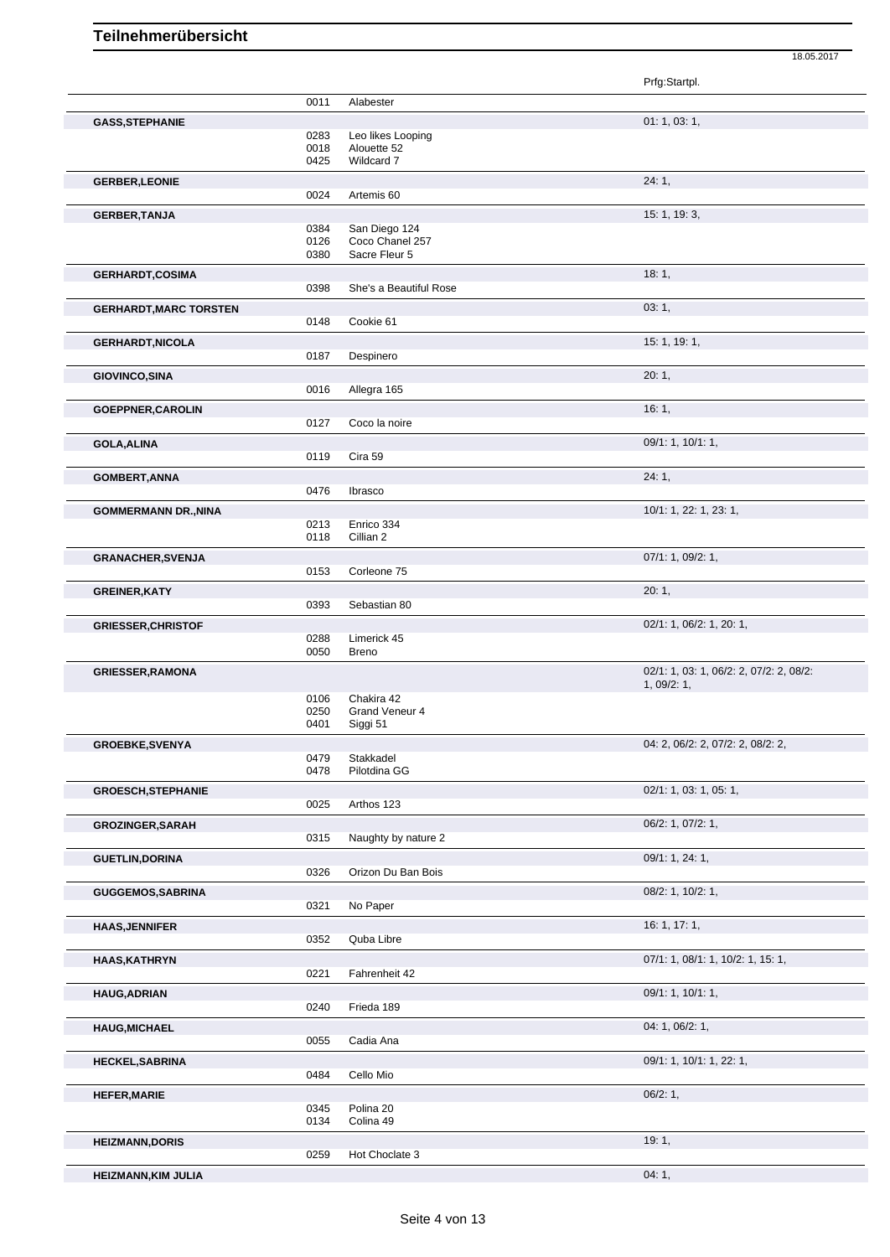|                               |              |                                  | Prfg:Startpl.                           |
|-------------------------------|--------------|----------------------------------|-----------------------------------------|
|                               | 0011         | Alabester                        |                                         |
| <b>GASS, STEPHANIE</b>        |              |                                  | 01: 1, 03: 1,                           |
|                               | 0283<br>0018 | Leo likes Looping<br>Alouette 52 |                                         |
|                               | 0425         | Wildcard 7                       |                                         |
| <b>GERBER, LEONIE</b>         |              |                                  | 24:1,                                   |
|                               | 0024         | Artemis <sub>60</sub>            |                                         |
| <b>GERBER, TANJA</b>          |              |                                  | 15: 1, 19: 3,                           |
|                               | 0384         | San Diego 124                    |                                         |
|                               | 0126<br>0380 | Coco Chanel 257<br>Sacre Fleur 5 |                                         |
| <b>GERHARDT, COSIMA</b>       |              |                                  | 18:1,                                   |
|                               | 0398         | She's a Beautiful Rose           |                                         |
| <b>GERHARDT, MARC TORSTEN</b> |              |                                  | 03:1,                                   |
|                               | 0148         | Cookie 61                        |                                         |
| <b>GERHARDT, NICOLA</b>       |              |                                  | 15: 1, 19: 1,                           |
|                               | 0187         | Despinero                        |                                         |
| <b>GIOVINCO, SINA</b>         |              |                                  | 20:1,                                   |
|                               | 0016         | Allegra 165                      |                                         |
| GOEPPNER, CAROLIN             |              |                                  | 16:1,                                   |
|                               | 0127         | Coco la noire                    |                                         |
| <b>GOLA, ALINA</b>            |              |                                  | 09/1: 1, 10/1: 1,                       |
|                               | 0119         | Cira 59                          |                                         |
| <b>GOMBERT, ANNA</b>          |              |                                  | 24:1,                                   |
|                               | 0476         | Ibrasco                          |                                         |
| <b>GOMMERMANN DR., NINA</b>   |              |                                  | 10/1: 1, 22: 1, 23: 1,                  |
|                               | 0213<br>0118 | Enrico 334<br>Cillian 2          |                                         |
|                               |              |                                  | 07/1: 1, 09/2: 1,                       |
| <b>GRANACHER, SVENJA</b>      | 0153         | Corleone 75                      |                                         |
| <b>GREINER, KATY</b>          |              |                                  | 20:1,                                   |
|                               | 0393         | Sebastian 80                     |                                         |
| <b>GRIESSER, CHRISTOF</b>     |              |                                  | 02/1: 1, 06/2: 1, 20: 1,                |
|                               | 0288         | Limerick 45                      |                                         |
|                               | 0050         | <b>Breno</b>                     |                                         |
| <b>GRIESSER, RAMONA</b>       |              |                                  | 02/1: 1, 03: 1, 06/2: 2, 07/2: 2, 08/2: |
|                               | 0106         | Chakira 42                       | 1,09/2:1,                               |
|                               | 0250         | Grand Veneur 4                   |                                         |
|                               | 0401         | Siggi 51                         |                                         |
| <b>GROEBKE, SVENYA</b>        |              |                                  | 04: 2, 06/2: 2, 07/2: 2, 08/2: 2,       |
|                               | 0479<br>0478 | Stakkadel<br>Pilotdina GG        |                                         |
|                               |              |                                  |                                         |
| <b>GROESCH, STEPHANIE</b>     | 0025         | Arthos 123                       | 02/1: 1, 03: 1, 05: 1,                  |
|                               |              |                                  |                                         |
| <b>GROZINGER, SARAH</b>       | 0315         | Naughty by nature 2              | 06/2: 1, 07/2: 1,                       |
|                               |              |                                  | 09/1: 1, 24: 1,                         |
| <b>GUETLIN, DORINA</b>        | 0326         | Orizon Du Ban Bois               |                                         |
| <b>GUGGEMOS, SABRINA</b>      |              |                                  | 08/2: 1, 10/2: 1,                       |
|                               | 0321         | No Paper                         |                                         |
| <b>HAAS, JENNIFER</b>         |              |                                  | 16: 1, 17: 1,                           |
|                               | 0352         | Quba Libre                       |                                         |
| <b>HAAS, KATHRYN</b>          |              |                                  | 07/1: 1, 08/1: 1, 10/2: 1, 15: 1,       |
|                               | 0221         | Fahrenheit 42                    |                                         |
| <b>HAUG, ADRIAN</b>           |              |                                  | 09/1: 1, 10/1: 1,                       |
|                               | 0240         | Frieda 189                       |                                         |
| <b>HAUG, MICHAEL</b>          |              |                                  | 04: 1, 06/2: 1,                         |
|                               | 0055         | Cadia Ana                        |                                         |
| <b>HECKEL, SABRINA</b>        |              |                                  | 09/1: 1, 10/1: 1, 22: 1,                |
|                               | 0484         | Cello Mio                        |                                         |
| <b>HEFER, MARIE</b>           |              |                                  | 06/2:1,                                 |
|                               | 0345<br>0134 | Polina 20<br>Colina 49           |                                         |
|                               |              |                                  |                                         |
| <b>HEIZMANN, DORIS</b>        | 0259         | Hot Choclate 3                   | 19:1,                                   |
| <b>HEIZMANN, KIM JULIA</b>    |              |                                  | 04:1,                                   |
|                               |              |                                  |                                         |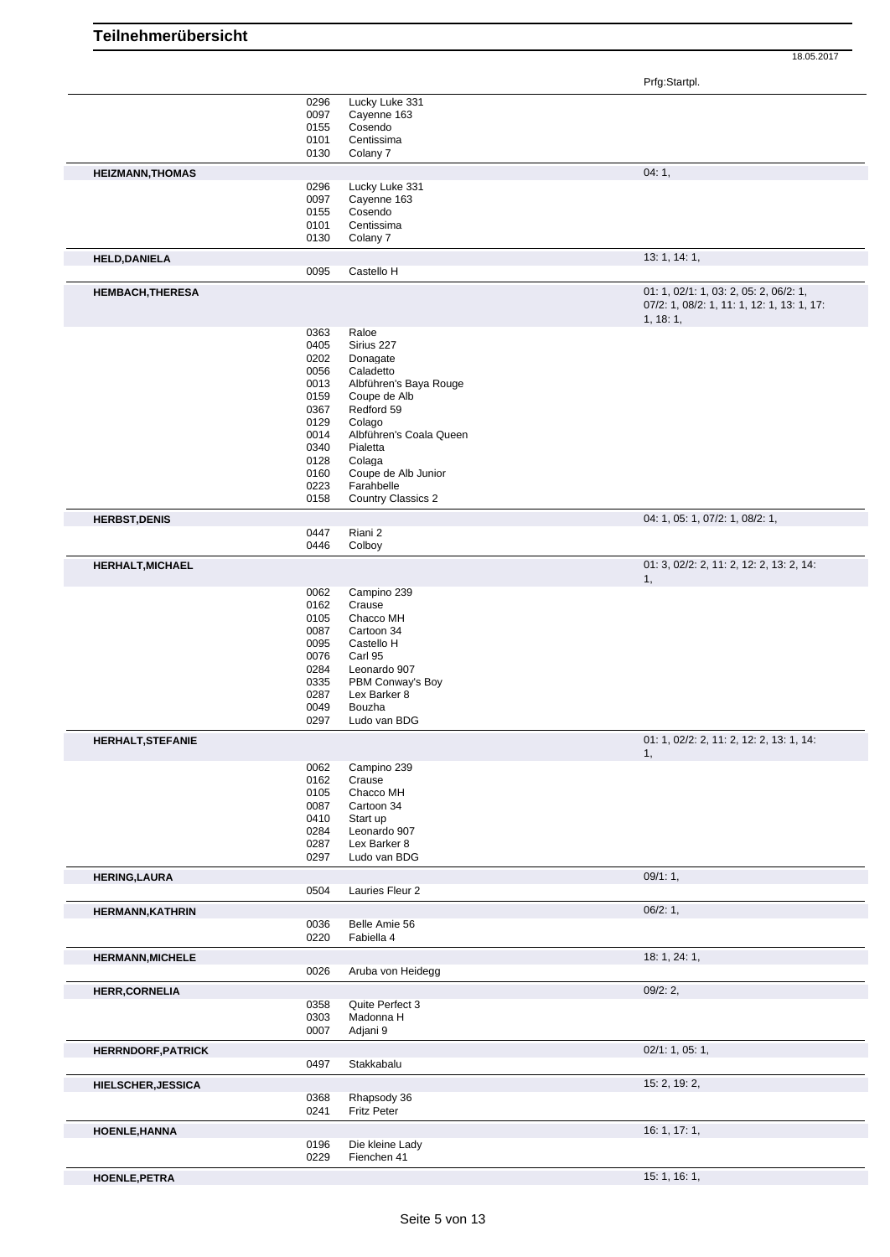18.05.2017

|                           |              |                           | Prfg:Startpl.                                                                                    |
|---------------------------|--------------|---------------------------|--------------------------------------------------------------------------------------------------|
|                           | 0296         | Lucky Luke 331            |                                                                                                  |
|                           | 0097         | Cayenne 163               |                                                                                                  |
|                           | 0155         | Cosendo                   |                                                                                                  |
|                           | 0101         | Centissima                |                                                                                                  |
|                           | 0130         | Colany 7                  |                                                                                                  |
| <b>HEIZMANN, THOMAS</b>   |              |                           | 04:1,                                                                                            |
|                           | 0296         | Lucky Luke 331            |                                                                                                  |
|                           | 0097         | Cayenne 163               |                                                                                                  |
|                           | 0155         | Cosendo                   |                                                                                                  |
|                           | 0101         | Centissima                |                                                                                                  |
|                           | 0130         | Colany 7                  |                                                                                                  |
| <b>HELD,DANIELA</b>       |              |                           | 13: 1, 14: 1,                                                                                    |
|                           | 0095         | Castello H                |                                                                                                  |
| <b>HEMBACH, THERESA</b>   |              |                           | 01: 1, 02/1: 1, 03: 2, 05: 2, 06/2: 1,<br>07/2: 1, 08/2: 1, 11: 1, 12: 1, 13: 1, 17:<br>1, 18:1, |
|                           | 0363         | Raloe                     |                                                                                                  |
|                           | 0405         | Sirius 227                |                                                                                                  |
|                           | 0202         | Donagate                  |                                                                                                  |
|                           | 0056         | Caladetto                 |                                                                                                  |
|                           | 0013         | Albführen's Baya Rouge    |                                                                                                  |
|                           | 0159         | Coupe de Alb              |                                                                                                  |
|                           | 0367         | Redford 59                |                                                                                                  |
|                           | 0129         | Colago                    |                                                                                                  |
|                           | 0014         | Albführen's Coala Queen   |                                                                                                  |
|                           | 0340         | Pialetta                  |                                                                                                  |
|                           | 0128         | Colaga                    |                                                                                                  |
|                           | 0160         | Coupe de Alb Junior       |                                                                                                  |
|                           | 0223         | Farahbelle                |                                                                                                  |
|                           | 0158         | <b>Country Classics 2</b> |                                                                                                  |
| <b>HERBST, DENIS</b>      |              |                           | 04: 1, 05: 1, 07/2: 1, 08/2: 1,                                                                  |
|                           | 0447         | Riani 2                   |                                                                                                  |
|                           | 0446         | Colboy                    |                                                                                                  |
| <b>HERHALT, MICHAEL</b>   |              |                           | 01: 3, 02/2: 2, 11: 2, 12: 2, 13: 2, 14:                                                         |
|                           |              |                           | 1,                                                                                               |
|                           | 0062         | Campino 239               |                                                                                                  |
|                           | 0162         | Crause                    |                                                                                                  |
|                           | 0105         | Chacco MH                 |                                                                                                  |
|                           | 0087         | Cartoon 34                |                                                                                                  |
|                           | 0095         | Castello H                |                                                                                                  |
|                           | 0076         | Carl 95                   |                                                                                                  |
|                           | 0284         | Leonardo 907              |                                                                                                  |
|                           | 0335         | PBM Conway's Boy          |                                                                                                  |
|                           | 0287<br>0049 | Lex Barker 8<br>Bouzha    |                                                                                                  |
|                           | 0297         | Ludo van BDG              |                                                                                                  |
| <b>HERHALT, STEFANIE</b>  |              |                           | 01: 1, 02/2: 2, 11: 2, 12: 2, 13: 1, 14:<br>1.                                                   |
|                           | 0062         | Campino 239               |                                                                                                  |
|                           | 0162         | Crause                    |                                                                                                  |
|                           | 0105         | Chacco MH                 |                                                                                                  |
|                           | 0087         | Cartoon 34                |                                                                                                  |
|                           | 0410         | Start up                  |                                                                                                  |
|                           | 0284         | Leonardo 907              |                                                                                                  |
|                           | 0287         | Lex Barker 8              |                                                                                                  |
|                           | 0297         | Ludo van BDG              |                                                                                                  |
| <b>HERING, LAURA</b>      |              |                           | 09/1:1,                                                                                          |
|                           | 0504         | Lauries Fleur 2           |                                                                                                  |
| <b>HERMANN, KATHRIN</b>   |              |                           | 06/2:1,                                                                                          |
|                           | 0036         | Belle Amie 56             |                                                                                                  |
|                           | 0220         | Fabiella 4                |                                                                                                  |
| <b>HERMANN, MICHELE</b>   |              |                           | 18: 1, 24: 1,                                                                                    |
|                           | 0026         | Aruba von Heidegg         |                                                                                                  |
| <b>HERR, CORNELIA</b>     |              |                           | 09/2:2,                                                                                          |
|                           | 0358         | Quite Perfect 3           |                                                                                                  |
|                           | 0303         | Madonna H                 |                                                                                                  |
|                           | 0007         | Adjani 9                  |                                                                                                  |
| <b>HERRNDORF, PATRICK</b> |              |                           | 02/1: 1, 05: 1,                                                                                  |
|                           | 0497         | Stakkabalu                |                                                                                                  |
| <b>HIELSCHER, JESSICA</b> |              |                           | 15: 2, 19: 2,                                                                                    |
|                           | 0368         | Rhapsody 36               |                                                                                                  |
|                           | 0241         | <b>Fritz Peter</b>        |                                                                                                  |
| <b>HOENLE, HANNA</b>      |              |                           | 16: 1, 17: 1,                                                                                    |
|                           | 0196         | Die kleine Lady           |                                                                                                  |
|                           | 0229         | Fienchen 41               |                                                                                                  |
| <b>HOENLE, PETRA</b>      |              |                           | 15: 1, 16: 1,                                                                                    |

**Teilnehmerübersicht**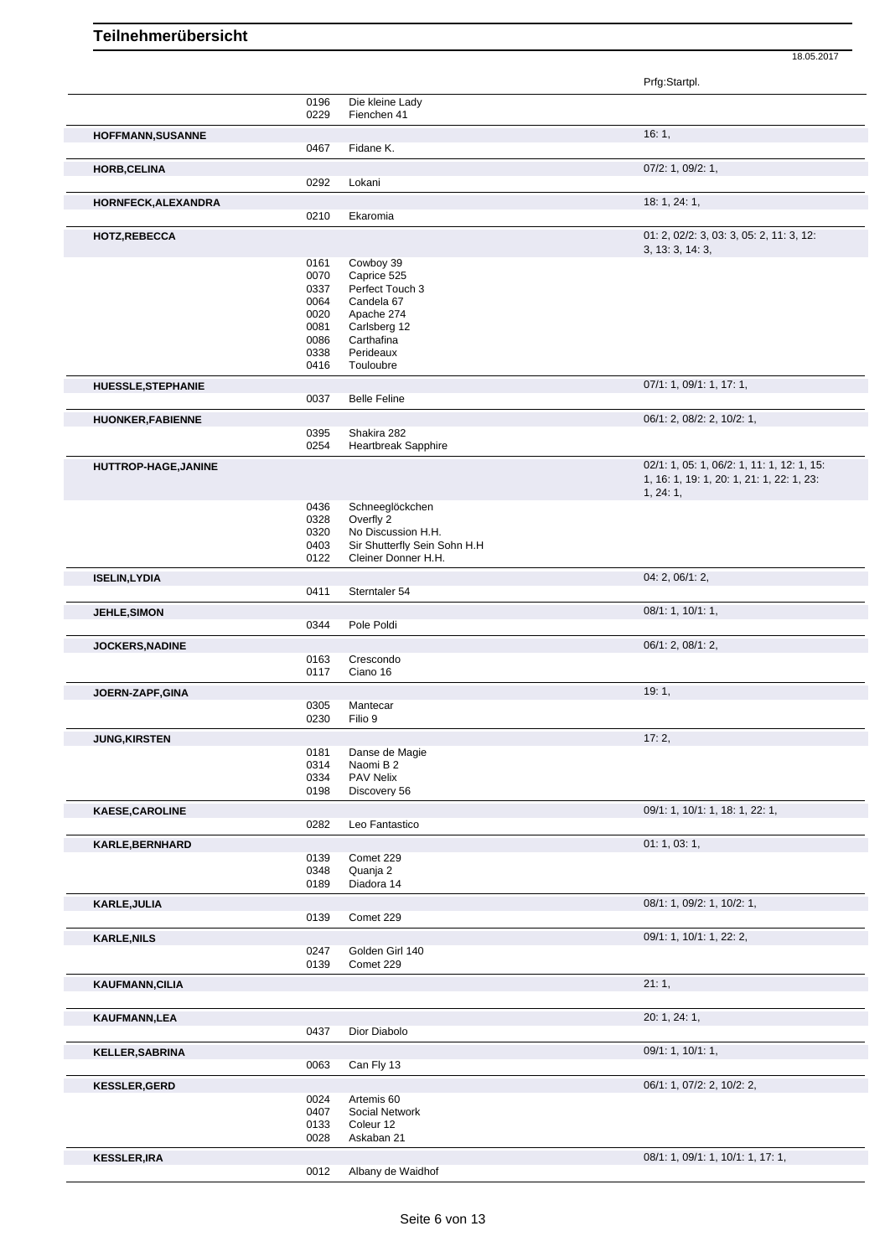|                         |              |                              | Prfg:Startpl.                                          |
|-------------------------|--------------|------------------------------|--------------------------------------------------------|
|                         | 0196         | Die kleine Lady              |                                                        |
|                         | 0229         | Fienchen 41                  |                                                        |
| HOFFMANN, SUSANNE       | 0467         | Fidane K.                    | 16:1,                                                  |
| <b>HORB, CELINA</b>     |              |                              | 07/2: 1, 09/2: 1,                                      |
|                         | 0292         | Lokani                       |                                                        |
| HORNFECK, ALEXANDRA     |              |                              | 18: 1, 24: 1,                                          |
|                         | 0210         | Ekaromia                     |                                                        |
| <b>HOTZ,REBECCA</b>     |              |                              | 01: 2, 02/2: 3, 03: 3, 05: 2, 11: 3, 12:               |
|                         |              |                              | 3, 13: 3, 14: 3,                                       |
|                         | 0161<br>0070 | Cowboy 39<br>Caprice 525     |                                                        |
|                         | 0337         | Perfect Touch 3              |                                                        |
|                         | 0064         | Candela 67                   |                                                        |
|                         | 0020         | Apache 274                   |                                                        |
|                         | 0081         | Carlsberg 12                 |                                                        |
|                         | 0086         | Carthafina                   |                                                        |
|                         | 0338         | Perideaux                    |                                                        |
|                         | 0416         | Touloubre                    |                                                        |
| HUESSLE, STEPHANIE      | 0037         | <b>Belle Feline</b>          | 07/1: 1, 09/1: 1, 17: 1,                               |
|                         |              |                              | 06/1: 2, 08/2: 2, 10/2: 1,                             |
| <b>HUONKER,FABIENNE</b> | 0395         | Shakira 282                  |                                                        |
|                         | 0254         | Heartbreak Sapphire          |                                                        |
| HUTTROP-HAGE, JANINE    |              |                              | 02/1: 1, 05: 1, 06/2: 1, 11: 1, 12: 1, 15:             |
|                         |              |                              | 1, 16: 1, 19: 1, 20: 1, 21: 1, 22: 1, 23:<br>1, 24: 1, |
|                         | 0436         | Schneeglöckchen              |                                                        |
|                         | 0328         | Overfly 2                    |                                                        |
|                         | 0320         | No Discussion H.H.           |                                                        |
|                         | 0403         | Sir Shutterfly Sein Sohn H.H |                                                        |
|                         | 0122         | Cleiner Donner H.H.          |                                                        |
| <b>ISELIN,LYDIA</b>     | 0411         | Sterntaler 54                | 04: 2, 06/1: 2,                                        |
|                         |              |                              |                                                        |
| JEHLE, SIMON            | 0344         | Pole Poldi                   | 08/1: 1, 10/1: 1,                                      |
| JOCKERS, NADINE         |              |                              | 06/1: 2, 08/1: 2,                                      |
|                         | 0163         | Crescondo                    |                                                        |
|                         | 0117         | Ciano 16                     |                                                        |
| JOERN-ZAPF, GINA        |              |                              | 19:1,                                                  |
|                         | 0305<br>0230 | Mantecar<br>Filio 9          |                                                        |
|                         |              |                              |                                                        |
| <b>JUNG, KIRSTEN</b>    | 0181         | Danse de Magie               | 17:2,                                                  |
|                         | 0314         | Naomi B 2                    |                                                        |
|                         | 0334         | PAV Nelix                    |                                                        |
|                         | 0198         | Discovery 56                 |                                                        |
| <b>KAESE, CAROLINE</b>  |              |                              | 09/1: 1, 10/1: 1, 18: 1, 22: 1,                        |
|                         | 0282         | Leo Fantastico               |                                                        |
| KARLE, BERNHARD         |              |                              | 01: 1, 03: 1,                                          |
|                         | 0139         | Comet 229                    |                                                        |
|                         | 0348<br>0189 | Quanja 2<br>Diadora 14       |                                                        |
| KARLE, JULIA            |              |                              | 08/1: 1, 09/2: 1, 10/2: 1,                             |
|                         | 0139         | Comet 229                    |                                                        |
| <b>KARLE, NILS</b>      |              |                              | 09/1: 1, 10/1: 1, 22: 2,                               |
|                         | 0247         | Golden Girl 140              |                                                        |
|                         | 0139         | Comet 229                    |                                                        |
| <b>KAUFMANN, CILIA</b>  |              |                              | 21:1,                                                  |
|                         |              |                              |                                                        |
| <b>KAUFMANN,LEA</b>     | 0437         |                              | 20: 1, 24: 1,                                          |
|                         |              | Dior Diabolo                 |                                                        |
| <b>KELLER, SABRINA</b>  | 0063         | Can Fly 13                   | 09/1: 1, 10/1: 1,                                      |
|                         |              |                              |                                                        |
| <b>KESSLER, GERD</b>    | 0024         | Artemis 60                   | 06/1: 1, 07/2: 2, 10/2: 2,                             |
|                         | 0407         | Social Network               |                                                        |
|                         | 0133         | Coleur 12                    |                                                        |
|                         | 0028         | Askaban 21                   |                                                        |
| <b>KESSLER, IRA</b>     |              |                              | 08/1: 1, 09/1: 1, 10/1: 1, 17: 1,                      |
|                         | 0012         | Albany de Waidhof            |                                                        |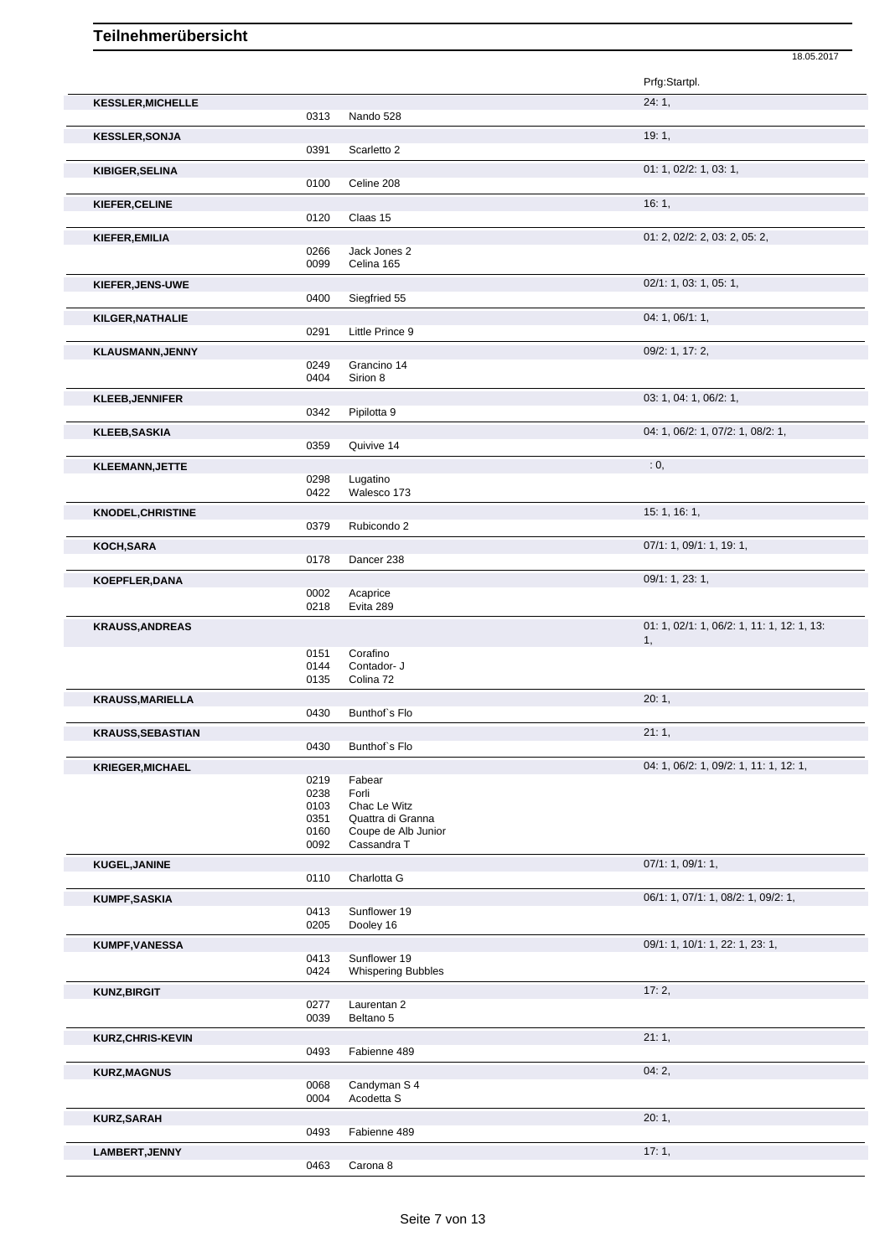|                          |              |                                          | Prfg:Startpl.                                    |
|--------------------------|--------------|------------------------------------------|--------------------------------------------------|
| <b>KESSLER, MICHELLE</b> | 0313         | Nando 528                                | 24:1,                                            |
| <b>KESSLER, SONJA</b>    |              |                                          | 19:1,                                            |
|                          | 0391         | Scarletto 2                              |                                                  |
| KIBIGER, SELINA          | 0100         | Celine 208                               | 01: 1, 02/2: 1, 03: 1,                           |
| KIEFER, CELINE           |              |                                          | 16:1,                                            |
|                          | 0120         | Claas 15                                 |                                                  |
| KIEFER, EMILIA           | 0266         | Jack Jones 2                             | 01: 2, 02/2: 2, 03: 2, 05: 2,                    |
|                          | 0099         | Celina 165                               |                                                  |
| KIEFER, JENS-UWE         |              |                                          | 02/1: 1, 03: 1, 05: 1,                           |
|                          | 0400         | Siegfried 55                             |                                                  |
| KILGER, NATHALIE         | 0291         | Little Prince 9                          | 04: 1, 06/1: 1,                                  |
| <b>KLAUSMANN, JENNY</b>  |              |                                          | 09/2: 1, 17: 2,                                  |
|                          | 0249         | Grancino 14                              |                                                  |
|                          | 0404         | Sirion 8                                 |                                                  |
| <b>KLEEB, JENNIFER</b>   |              |                                          | 03: 1, 04: 1, 06/2: 1,                           |
|                          | 0342         | Pipilotta 9                              |                                                  |
| <b>KLEEB, SASKIA</b>     | 0359         | Quivive 14                               | 04: 1, 06/2: 1, 07/2: 1, 08/2: 1,                |
| <b>KLEEMANN, JETTE</b>   |              |                                          | : 0,                                             |
|                          | 0298         | Lugatino                                 |                                                  |
|                          | 0422         | Walesco 173                              |                                                  |
| <b>KNODEL, CHRISTINE</b> | 0379         | Rubicondo 2                              | 15: 1, 16: 1,                                    |
|                          |              |                                          | 07/1: 1, 09/1: 1, 19: 1,                         |
| KOCH, SARA               | 0178         | Dancer 238                               |                                                  |
| <b>KOEPFLER, DANA</b>    |              |                                          | 09/1: 1, 23: 1,                                  |
|                          | 0002         | Acaprice                                 |                                                  |
|                          | 0218         | Evita 289                                |                                                  |
| <b>KRAUSS, ANDREAS</b>   |              |                                          | 01: 1, 02/1: 1, 06/2: 1, 11: 1, 12: 1, 13:<br>1, |
|                          | 0151         | Corafino                                 |                                                  |
|                          | 0144<br>0135 | Contador- J<br>Colina 72                 |                                                  |
| <b>KRAUSS, MARIELLA</b>  |              |                                          | 20:1,                                            |
|                          | 0430         | Bunthof's Flo                            |                                                  |
| KRAUSS,SEBASTIAN         |              |                                          | 21:1,                                            |
|                          | 0430         | Bunthof's Flo                            |                                                  |
| <b>KRIEGER, MICHAEL</b>  |              |                                          | 04: 1, 06/2: 1, 09/2: 1, 11: 1, 12: 1,           |
|                          | 0219<br>0238 | Fabear<br>Forli                          |                                                  |
|                          | 0103         | Chac Le Witz                             |                                                  |
|                          | 0351<br>0160 | Quattra di Granna<br>Coupe de Alb Junior |                                                  |
|                          | 0092         | Cassandra T                              |                                                  |
| KUGEL, JANINE            |              |                                          | 07/1: 1, 09/1: 1,                                |
|                          | 0110         | Charlotta G                              |                                                  |
| <b>KUMPF, SASKIA</b>     | 0413         | Sunflower 19                             | 06/1: 1, 07/1: 1, 08/2: 1, 09/2: 1,              |
|                          | 0205         | Dooley 16                                |                                                  |
| KUMPF, VANESSA           |              |                                          | 09/1: 1, 10/1: 1, 22: 1, 23: 1,                  |
|                          | 0413         | Sunflower 19                             |                                                  |
|                          | 0424         | <b>Whispering Bubbles</b>                |                                                  |
| <b>KUNZ, BIRGIT</b>      | 0277         | Laurentan 2                              | 17:2,                                            |
|                          | 0039         | Beltano 5                                |                                                  |
| <b>KURZ, CHRIS-KEVIN</b> |              |                                          | 21:1,                                            |
|                          | 0493         | Fabienne 489                             |                                                  |
| <b>KURZ, MAGNUS</b>      |              |                                          | 04:2,                                            |
|                          | 0068<br>0004 | Candyman S 4<br>Acodetta S               |                                                  |
| <b>KURZ,SARAH</b>        |              |                                          | 20:1,                                            |
|                          | 0493         | Fabienne 489                             |                                                  |

18.05.2017

**LAMBERT, JENNY** 17: 1, 20063 Carona 8 Carona 8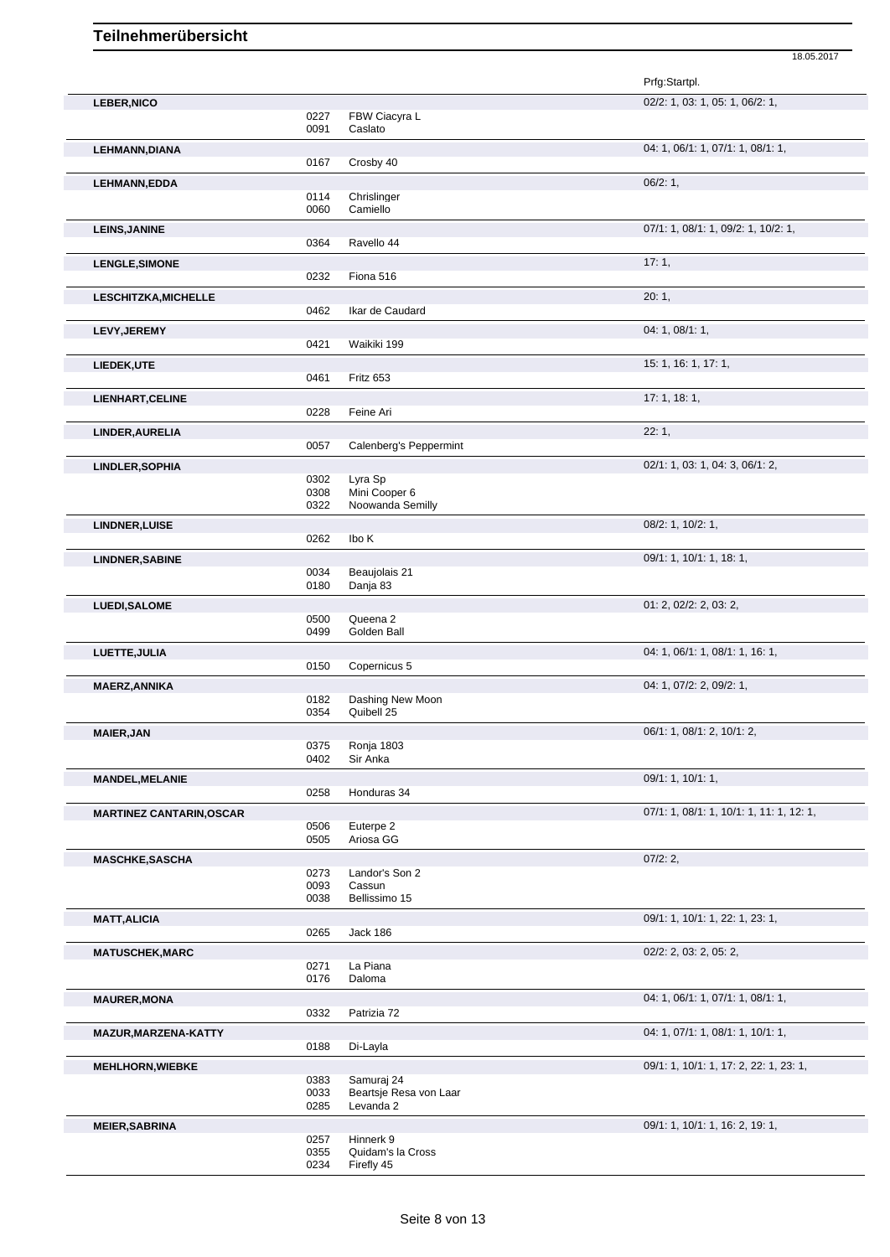|                                 |              |                                     | 18.05.2017                               |
|---------------------------------|--------------|-------------------------------------|------------------------------------------|
|                                 |              |                                     | Prfg:Startpl.                            |
| <b>LEBER, NICO</b>              |              |                                     | 02/2: 1, 03: 1, 05: 1, 06/2: 1,          |
|                                 | 0227         | FBW Ciacyra L                       |                                          |
|                                 | 0091         | Caslato                             |                                          |
| <b>LEHMANN, DIANA</b>           |              |                                     | 04: 1, 06/1: 1, 07/1: 1, 08/1: 1,        |
|                                 | 0167         | Crosby 40                           |                                          |
| <b>LEHMANN,EDDA</b>             |              |                                     | 06/2:1,                                  |
|                                 | 0114         | Chrislinger                         |                                          |
|                                 | 0060         | Camiello                            |                                          |
| <b>LEINS, JANINE</b>            |              |                                     | 07/1: 1, 08/1: 1, 09/2: 1, 10/2: 1,      |
|                                 | 0364         | Ravello 44                          |                                          |
|                                 |              |                                     |                                          |
| <b>LENGLE, SIMONE</b>           | 0232         | Fiona 516                           | 17:1,                                    |
|                                 |              |                                     |                                          |
| <b>LESCHITZKA, MICHELLE</b>     |              |                                     | 20:1,                                    |
|                                 | 0462         | Ikar de Caudard                     |                                          |
| <b>LEVY, JEREMY</b>             |              |                                     | 04: 1, 08/1: 1,                          |
|                                 | 0421         | Waikiki 199                         |                                          |
| LIEDEK,UTE                      |              |                                     | 15: 1, 16: 1, 17: 1,                     |
|                                 | 0461         | Fritz 653                           |                                          |
|                                 |              |                                     | 17:1, 18:1,                              |
| LIENHART, CELINE                | 0228         | Feine Ari                           |                                          |
|                                 |              |                                     |                                          |
| LINDER, AURELIA                 |              |                                     | 22:1,                                    |
|                                 | 0057         | Calenberg's Peppermint              |                                          |
| LINDLER, SOPHIA                 |              |                                     | 02/1: 1, 03: 1, 04: 3, 06/1: 2,          |
|                                 | 0302         | Lyra Sp                             |                                          |
|                                 | 0308         | Mini Cooper 6<br>Noowanda Semilly   |                                          |
|                                 | 0322         |                                     |                                          |
| LINDNER, LUISE                  |              |                                     | 08/2: 1, 10/2: 1,                        |
|                                 | 0262         | Ibo K                               |                                          |
| <b>LINDNER, SABINE</b>          |              |                                     | 09/1: 1, 10/1: 1, 18: 1,                 |
|                                 | 0034         | Beaujolais 21                       |                                          |
|                                 | 0180         | Danja 83                            |                                          |
| <b>LUEDI, SALOME</b>            |              |                                     | 01: 2, 02/2: 2, 03: 2,                   |
|                                 | 0500         | Queena 2                            |                                          |
|                                 | 0499         | Golden Ball                         |                                          |
| LUETTE, JULIA                   |              |                                     | 04: 1, 06/1: 1, 08/1: 1, 16: 1,          |
|                                 | 0150         | Copernicus 5                        |                                          |
| <b>MAERZ, ANNIKA</b>            |              |                                     | 04: 1, 07/2: 2, 09/2: 1,                 |
|                                 | 0182         | Dashing New Moon                    |                                          |
|                                 | 0354         | Quibell 25                          |                                          |
|                                 |              |                                     | 06/1: 1, 08/1: 2, 10/1: 2,               |
| <b>MAIER, JAN</b>               | 0375         | Ronja 1803                          |                                          |
|                                 | 0402         | Sir Anka                            |                                          |
|                                 |              |                                     |                                          |
| <b>MANDEL, MELANIE</b>          |              |                                     | 09/1: 1, 10/1: 1,                        |
|                                 | 0258         | Honduras 34                         |                                          |
| <b>MARTINEZ CANTARIN, OSCAR</b> |              |                                     | 07/1: 1, 08/1: 1, 10/1: 1, 11: 1, 12: 1, |
|                                 | 0506         | Euterpe 2                           |                                          |
|                                 | 0505         | Ariosa GG                           |                                          |
| <b>MASCHKE, SASCHA</b>          |              |                                     | 07/2:2,                                  |
|                                 | 0273         | Landor's Son 2                      |                                          |
|                                 | 0093         | Cassun                              |                                          |
|                                 | 0038         | Bellissimo 15                       |                                          |
| <b>MATT, ALICIA</b>             |              |                                     | 09/1: 1, 10/1: 1, 22: 1, 23: 1,          |
|                                 | 0265         | Jack 186                            |                                          |
| <b>MATUSCHEK, MARC</b>          |              |                                     | 02/2: 2, 03: 2, 05: 2,                   |
|                                 | 0271         | La Piana                            |                                          |
|                                 | 0176         | Daloma                              |                                          |
| <b>MAURER, MONA</b>             |              |                                     | 04: 1, 06/1: 1, 07/1: 1, 08/1: 1,        |
|                                 | 0332         | Patrizia 72                         |                                          |
|                                 |              |                                     |                                          |
| MAZUR, MARZENA-KATTY            | 0188         | Di-Layla                            | 04: 1, 07/1: 1, 08/1: 1, 10/1: 1,        |
|                                 |              |                                     |                                          |
| <b>MEHLHORN, WIEBKE</b>         |              |                                     | 09/1: 1, 10/1: 1, 17: 2, 22: 1, 23: 1,   |
|                                 | 0383         | Samuraj 24                          |                                          |
|                                 | 0033<br>0285 | Beartsje Resa von Laar<br>Levanda 2 |                                          |
|                                 |              |                                     |                                          |
| <b>MEIER, SABRINA</b>           |              |                                     | 09/1: 1, 10/1: 1, 16: 2, 19: 1,          |
|                                 | 0257         | Hinnerk 9                           |                                          |
|                                 | 0355         | Quidam's la Cross                   |                                          |

0234 Firefly 45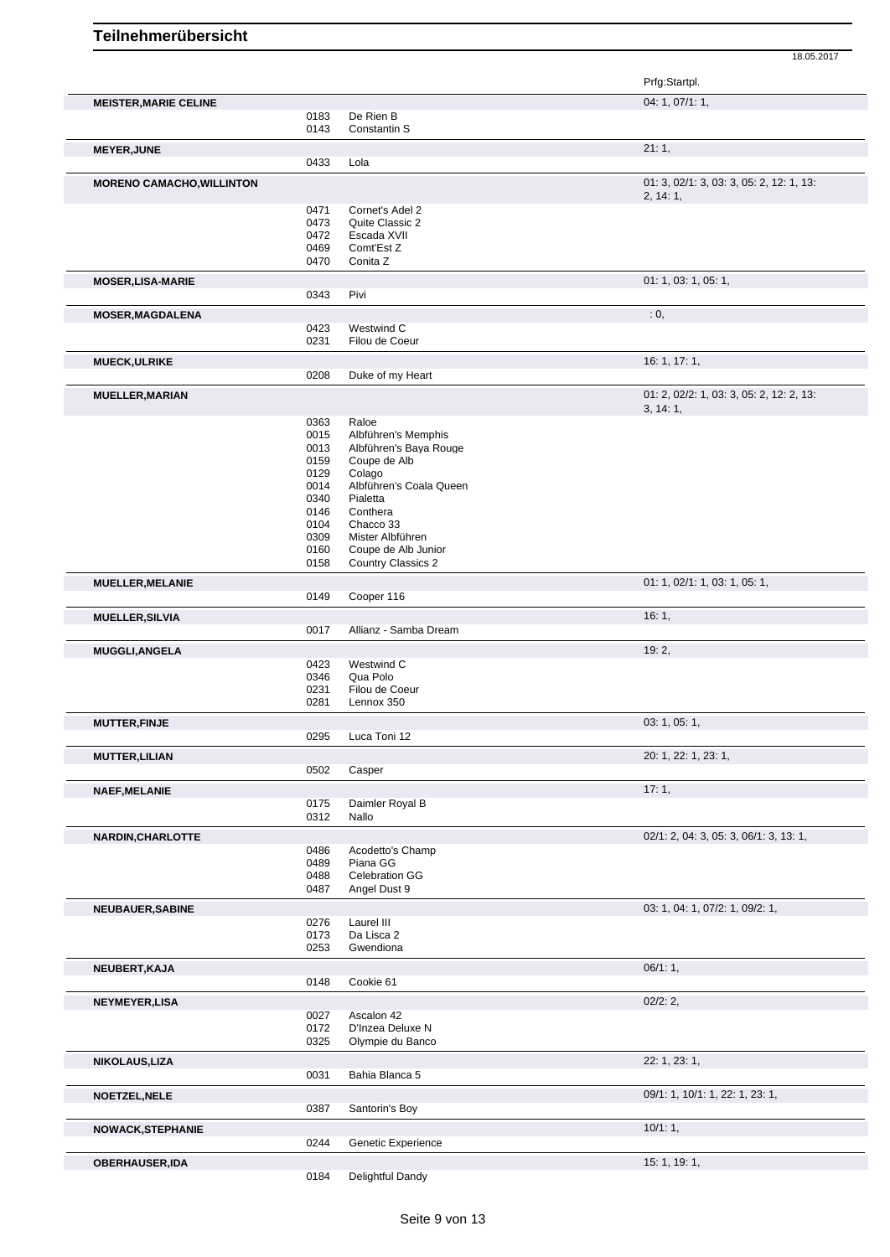|      |                                                                                                                                                                                                                      | Prfg:Startpl.                                                                                                                                                                                                                                                                                                                                                                                                                                                 |
|------|----------------------------------------------------------------------------------------------------------------------------------------------------------------------------------------------------------------------|---------------------------------------------------------------------------------------------------------------------------------------------------------------------------------------------------------------------------------------------------------------------------------------------------------------------------------------------------------------------------------------------------------------------------------------------------------------|
|      |                                                                                                                                                                                                                      | 04: 1, 07/1: 1,                                                                                                                                                                                                                                                                                                                                                                                                                                               |
|      |                                                                                                                                                                                                                      |                                                                                                                                                                                                                                                                                                                                                                                                                                                               |
|      |                                                                                                                                                                                                                      |                                                                                                                                                                                                                                                                                                                                                                                                                                                               |
|      |                                                                                                                                                                                                                      | 21:1,                                                                                                                                                                                                                                                                                                                                                                                                                                                         |
|      |                                                                                                                                                                                                                      |                                                                                                                                                                                                                                                                                                                                                                                                                                                               |
|      |                                                                                                                                                                                                                      | 01: 3, 02/1: 3, 03: 3, 05: 2, 12: 1, 13:<br>2, 14:1,                                                                                                                                                                                                                                                                                                                                                                                                          |
| 0471 | Cornet's Adel 2                                                                                                                                                                                                      |                                                                                                                                                                                                                                                                                                                                                                                                                                                               |
| 0473 | Quite Classic 2                                                                                                                                                                                                      |                                                                                                                                                                                                                                                                                                                                                                                                                                                               |
|      |                                                                                                                                                                                                                      |                                                                                                                                                                                                                                                                                                                                                                                                                                                               |
|      |                                                                                                                                                                                                                      |                                                                                                                                                                                                                                                                                                                                                                                                                                                               |
|      |                                                                                                                                                                                                                      | 01: 1, 03: 1, 05: 1,                                                                                                                                                                                                                                                                                                                                                                                                                                          |
|      |                                                                                                                                                                                                                      |                                                                                                                                                                                                                                                                                                                                                                                                                                                               |
|      |                                                                                                                                                                                                                      | : 0,                                                                                                                                                                                                                                                                                                                                                                                                                                                          |
|      |                                                                                                                                                                                                                      |                                                                                                                                                                                                                                                                                                                                                                                                                                                               |
| 0231 | Filou de Coeur                                                                                                                                                                                                       |                                                                                                                                                                                                                                                                                                                                                                                                                                                               |
|      |                                                                                                                                                                                                                      | 16: 1, 17: 1,                                                                                                                                                                                                                                                                                                                                                                                                                                                 |
| 0208 | Duke of my Heart                                                                                                                                                                                                     |                                                                                                                                                                                                                                                                                                                                                                                                                                                               |
|      |                                                                                                                                                                                                                      | 01: 2, 02/2: 1, 03: 3, 05: 2, 12: 2, 13:                                                                                                                                                                                                                                                                                                                                                                                                                      |
|      |                                                                                                                                                                                                                      | 3, 14:1,                                                                                                                                                                                                                                                                                                                                                                                                                                                      |
| 0363 | Raloe                                                                                                                                                                                                                |                                                                                                                                                                                                                                                                                                                                                                                                                                                               |
|      |                                                                                                                                                                                                                      |                                                                                                                                                                                                                                                                                                                                                                                                                                                               |
|      |                                                                                                                                                                                                                      |                                                                                                                                                                                                                                                                                                                                                                                                                                                               |
| 0129 | Colago                                                                                                                                                                                                               |                                                                                                                                                                                                                                                                                                                                                                                                                                                               |
| 0014 | Albführen's Coala Queen                                                                                                                                                                                              |                                                                                                                                                                                                                                                                                                                                                                                                                                                               |
| 0340 | Pialetta                                                                                                                                                                                                             |                                                                                                                                                                                                                                                                                                                                                                                                                                                               |
|      |                                                                                                                                                                                                                      |                                                                                                                                                                                                                                                                                                                                                                                                                                                               |
|      |                                                                                                                                                                                                                      |                                                                                                                                                                                                                                                                                                                                                                                                                                                               |
|      |                                                                                                                                                                                                                      |                                                                                                                                                                                                                                                                                                                                                                                                                                                               |
|      |                                                                                                                                                                                                                      |                                                                                                                                                                                                                                                                                                                                                                                                                                                               |
|      |                                                                                                                                                                                                                      |                                                                                                                                                                                                                                                                                                                                                                                                                                                               |
|      |                                                                                                                                                                                                                      | 01: 1, 02/1: 1, 03: 1, 05: 1,                                                                                                                                                                                                                                                                                                                                                                                                                                 |
|      |                                                                                                                                                                                                                      | 16:1,                                                                                                                                                                                                                                                                                                                                                                                                                                                         |
|      |                                                                                                                                                                                                                      |                                                                                                                                                                                                                                                                                                                                                                                                                                                               |
|      |                                                                                                                                                                                                                      | 19:2,                                                                                                                                                                                                                                                                                                                                                                                                                                                         |
|      |                                                                                                                                                                                                                      |                                                                                                                                                                                                                                                                                                                                                                                                                                                               |
|      |                                                                                                                                                                                                                      |                                                                                                                                                                                                                                                                                                                                                                                                                                                               |
| 0231 | Filou de Coeur                                                                                                                                                                                                       |                                                                                                                                                                                                                                                                                                                                                                                                                                                               |
| 0281 |                                                                                                                                                                                                                      |                                                                                                                                                                                                                                                                                                                                                                                                                                                               |
|      |                                                                                                                                                                                                                      | 03: 1, 05: 1,                                                                                                                                                                                                                                                                                                                                                                                                                                                 |
| 0295 | Luca Toni 12                                                                                                                                                                                                         |                                                                                                                                                                                                                                                                                                                                                                                                                                                               |
|      |                                                                                                                                                                                                                      | 20: 1, 22: 1, 23: 1,                                                                                                                                                                                                                                                                                                                                                                                                                                          |
|      |                                                                                                                                                                                                                      |                                                                                                                                                                                                                                                                                                                                                                                                                                                               |
|      |                                                                                                                                                                                                                      | 17:1,                                                                                                                                                                                                                                                                                                                                                                                                                                                         |
|      |                                                                                                                                                                                                                      |                                                                                                                                                                                                                                                                                                                                                                                                                                                               |
|      |                                                                                                                                                                                                                      |                                                                                                                                                                                                                                                                                                                                                                                                                                                               |
|      |                                                                                                                                                                                                                      | 02/1: 2, 04: 3, 05: 3, 06/1: 3, 13: 1,                                                                                                                                                                                                                                                                                                                                                                                                                        |
|      |                                                                                                                                                                                                                      |                                                                                                                                                                                                                                                                                                                                                                                                                                                               |
|      |                                                                                                                                                                                                                      |                                                                                                                                                                                                                                                                                                                                                                                                                                                               |
| 0487 | Angel Dust 9                                                                                                                                                                                                         |                                                                                                                                                                                                                                                                                                                                                                                                                                                               |
|      |                                                                                                                                                                                                                      | 03: 1, 04: 1, 07/2: 1, 09/2: 1,                                                                                                                                                                                                                                                                                                                                                                                                                               |
| 0276 | Laurel III                                                                                                                                                                                                           |                                                                                                                                                                                                                                                                                                                                                                                                                                                               |
| 0173 | Da Lisca 2                                                                                                                                                                                                           |                                                                                                                                                                                                                                                                                                                                                                                                                                                               |
| 0253 | Gwendiona                                                                                                                                                                                                            |                                                                                                                                                                                                                                                                                                                                                                                                                                                               |
|      |                                                                                                                                                                                                                      | 06/1:1,                                                                                                                                                                                                                                                                                                                                                                                                                                                       |
| 0148 | Cookie 61                                                                                                                                                                                                            |                                                                                                                                                                                                                                                                                                                                                                                                                                                               |
|      |                                                                                                                                                                                                                      | 02/2:2,                                                                                                                                                                                                                                                                                                                                                                                                                                                       |
| 0027 | Ascalon 42                                                                                                                                                                                                           |                                                                                                                                                                                                                                                                                                                                                                                                                                                               |
| 0172 | D'Inzea Deluxe N                                                                                                                                                                                                     |                                                                                                                                                                                                                                                                                                                                                                                                                                                               |
|      |                                                                                                                                                                                                                      |                                                                                                                                                                                                                                                                                                                                                                                                                                                               |
|      |                                                                                                                                                                                                                      | 22: 1, 23: 1,                                                                                                                                                                                                                                                                                                                                                                                                                                                 |
| 0031 | Bahia Blanca 5                                                                                                                                                                                                       |                                                                                                                                                                                                                                                                                                                                                                                                                                                               |
|      |                                                                                                                                                                                                                      | 09/1: 1, 10/1: 1, 22: 1, 23: 1,                                                                                                                                                                                                                                                                                                                                                                                                                               |
| 0387 | Santorin's Boy                                                                                                                                                                                                       |                                                                                                                                                                                                                                                                                                                                                                                                                                                               |
|      |                                                                                                                                                                                                                      |                                                                                                                                                                                                                                                                                                                                                                                                                                                               |
|      |                                                                                                                                                                                                                      | 10/1:1,                                                                                                                                                                                                                                                                                                                                                                                                                                                       |
| 0244 | Genetic Experience                                                                                                                                                                                                   |                                                                                                                                                                                                                                                                                                                                                                                                                                                               |
|      |                                                                                                                                                                                                                      | 15: 1, 19: 1,                                                                                                                                                                                                                                                                                                                                                                                                                                                 |
|      | 0183<br>0143<br>0433<br>0472<br>0469<br>0470<br>0343<br>0423<br>0015<br>0013<br>0159<br>0146<br>0104<br>0309<br>0160<br>0158<br>0149<br>0017<br>0423<br>0346<br>0502<br>0175<br>0312<br>0486<br>0489<br>0488<br>0325 | De Rien B<br>Constantin S<br>Lola<br>Escada XVII<br>Comt'Est Z<br>Conita Z<br>Pivi<br>Westwind C<br>Albführen's Memphis<br>Albführen's Baya Rouge<br>Coupe de Alb<br>Conthera<br>Chacco 33<br>Mister Albführen<br>Coupe de Alb Junior<br><b>Country Classics 2</b><br>Cooper 116<br>Allianz - Samba Dream<br>Westwind C<br>Qua Polo<br>Lennox 350<br>Casper<br>Daimler Royal B<br>Nallo<br>Acodetto's Champ<br>Piana GG<br>Celebration GG<br>Olympie du Banco |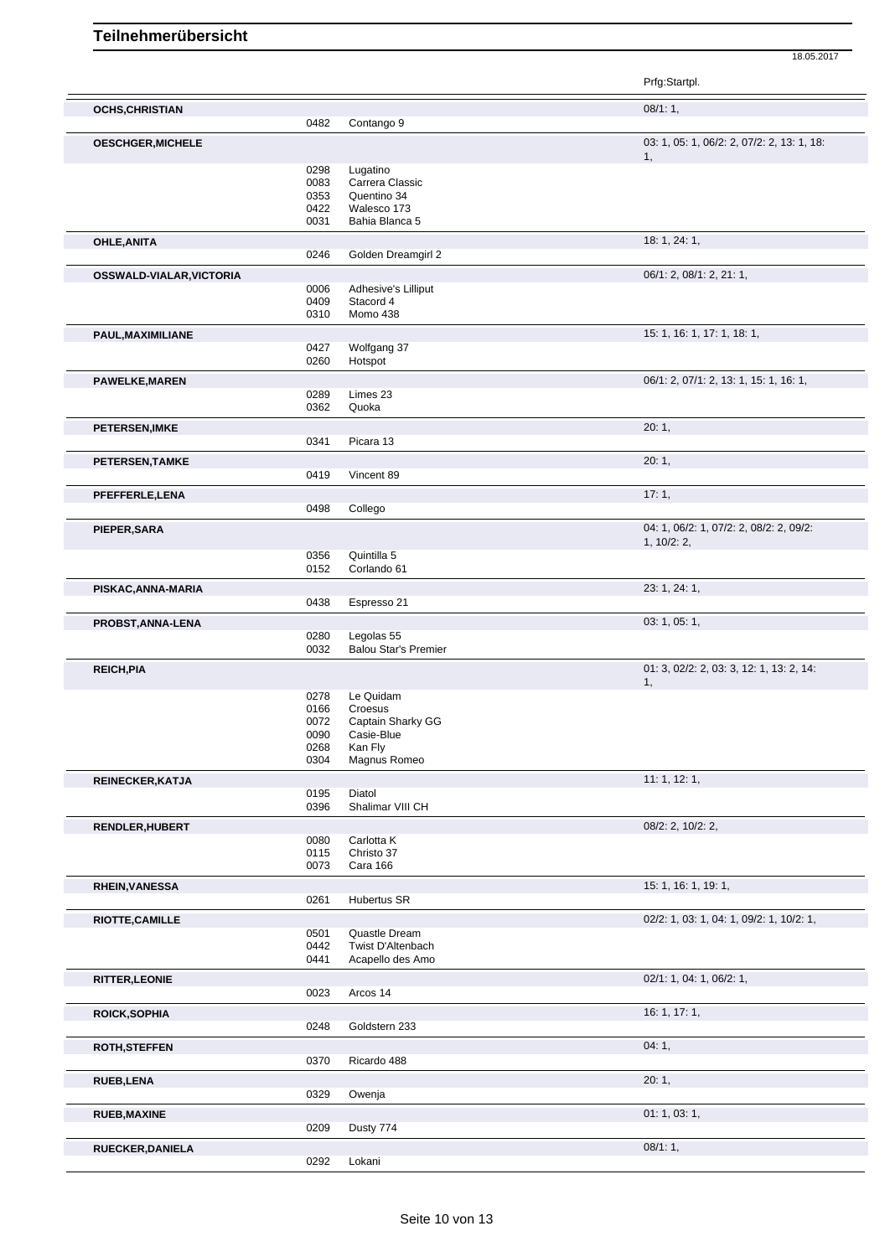|                          |      |                             | Prfg:Startpl.                                          |
|--------------------------|------|-----------------------------|--------------------------------------------------------|
| <b>OCHS, CHRISTIAN</b>   |      |                             | 08/1:1,                                                |
|                          | 0482 | Contango 9                  |                                                        |
| <b>OESCHGER, MICHELE</b> |      |                             | 03: 1, 05: 1, 06/2: 2, 07/2: 2, 13: 1, 18:<br>1,       |
|                          | 0298 | Lugatino                    |                                                        |
|                          | 0083 | Carrera Classic             |                                                        |
|                          | 0353 | Quentino 34                 |                                                        |
|                          | 0422 | Walesco 173                 |                                                        |
|                          | 0031 | Bahia Blanca 5              |                                                        |
| OHLE, ANITA              | 0246 | Golden Dreamgirl 2          | 18: 1, 24: 1,                                          |
|                          |      |                             |                                                        |
| OSSWALD-VIALAR, VICTORIA | 0006 | Adhesive's Lilliput         | 06/1: 2, 08/1: 2, 21: 1,                               |
|                          | 0409 | Stacord 4                   |                                                        |
|                          | 0310 | Momo 438                    |                                                        |
|                          |      |                             | 15: 1, 16: 1, 17: 1, 18: 1,                            |
| PAUL, MAXIMILIANE        | 0427 | Wolfgang 37                 |                                                        |
|                          | 0260 | Hotspot                     |                                                        |
|                          |      |                             | 06/1: 2, 07/1: 2, 13: 1, 15: 1, 16: 1,                 |
| <b>PAWELKE, MAREN</b>    | 0289 | Limes 23                    |                                                        |
|                          | 0362 | Quoka                       |                                                        |
|                          |      |                             |                                                        |
| <b>PETERSEN, IMKE</b>    | 0341 | Picara 13                   | 20:1,                                                  |
|                          |      |                             |                                                        |
| PETERSEN, TAMKE          | 0419 | Vincent 89                  | 20:1,                                                  |
|                          |      |                             |                                                        |
| PFEFFERLE, LENA          |      |                             | 17:1,                                                  |
|                          | 0498 | Collego                     |                                                        |
| PIEPER, SARA             |      |                             | 04: 1, 06/2: 1, 07/2: 2, 08/2: 2, 09/2:<br>1, 10/2: 2, |
|                          | 0356 | Quintilla 5                 |                                                        |
|                          | 0152 | Corlando 61                 |                                                        |
| PISKAC, ANNA-MARIA       |      |                             | 23: 1, 24: 1,                                          |
|                          | 0438 | Espresso 21                 |                                                        |
|                          |      |                             |                                                        |
| PROBST, ANNA-LENA        | 0280 | Legolas 55                  | 03: 1, 05: 1,                                          |
|                          | 0032 | <b>Balou Star's Premier</b> |                                                        |
|                          |      |                             | 01: 3, 02/2: 2, 03: 3, 12: 1, 13: 2, 14:               |
| <b>REICH, PIA</b>        |      |                             | 1,                                                     |
|                          | 0278 | Le Quidam                   |                                                        |
|                          | 0166 | Croesus                     |                                                        |
|                          | 0072 | Captain Sharky GG           |                                                        |
|                          | 0090 | Casie-Blue                  |                                                        |
|                          | 0268 | Kan Fly                     |                                                        |
|                          | 0304 | Magnus Romeo                |                                                        |
| REINECKER, KATJA         |      |                             | 11: 1, 12: 1,                                          |
|                          | 0195 | Diatol                      |                                                        |
|                          | 0396 | Shalimar VIII CH            |                                                        |
| RENDLER, HUBERT          |      |                             | 08/2: 2, 10/2: 2,                                      |
|                          | 0080 | Carlotta K                  |                                                        |
|                          | 0115 | Christo 37                  |                                                        |
|                          | 0073 | Cara 166                    |                                                        |
| <b>RHEIN, VANESSA</b>    |      |                             | 15: 1, 16: 1, 19: 1,                                   |
|                          | 0261 | <b>Hubertus SR</b>          |                                                        |
| RIOTTE, CAMILLE          |      |                             | 02/2: 1, 03: 1, 04: 1, 09/2: 1, 10/2: 1,               |
|                          | 0501 | Quastle Dream               |                                                        |
|                          | 0442 | Twist D'Altenbach           |                                                        |
|                          | 0441 | Acapello des Amo            |                                                        |
| <b>RITTER, LEONIE</b>    |      |                             | 02/1: 1, 04: 1, 06/2: 1,                               |
|                          | 0023 | Arcos 14                    |                                                        |
| <b>ROICK, SOPHIA</b>     |      |                             | 16: 1, 17: 1,                                          |
|                          | 0248 | Goldstern 233               |                                                        |
| <b>ROTH, STEFFEN</b>     |      |                             | 04:1,                                                  |
|                          | 0370 | Ricardo 488                 |                                                        |
|                          |      |                             |                                                        |
| <b>RUEB,LENA</b>         | 0329 | Owenja                      | 20:1,                                                  |
|                          |      |                             |                                                        |
| <b>RUEB, MAXINE</b>      |      |                             | 01: 1, 03: 1,                                          |
|                          | 0209 | Dusty 774                   |                                                        |
| RUECKER, DANIELA         |      |                             | 08/1:1,                                                |
|                          | 0292 | Lokani                      |                                                        |
|                          |      |                             |                                                        |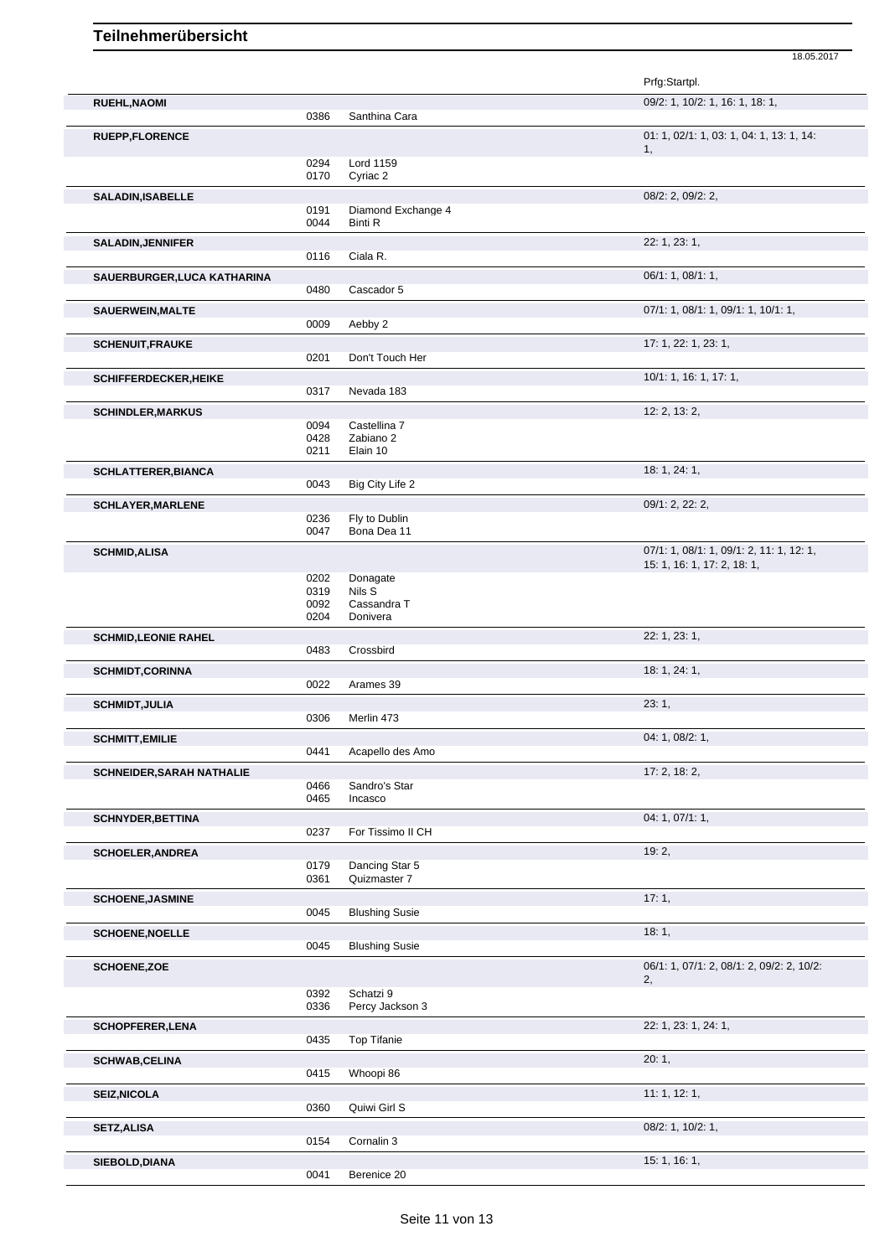|                                  |              |                              | Prfg:Startpl.                                                           |
|----------------------------------|--------------|------------------------------|-------------------------------------------------------------------------|
| <b>RUEHL, NAOMI</b>              |              |                              | 09/2: 1, 10/2: 1, 16: 1, 18: 1,                                         |
|                                  | 0386         | Santhina Cara                |                                                                         |
| <b>RUEPP,FLORENCE</b>            |              |                              | 01: 1, 02/1: 1, 03: 1, 04: 1, 13: 1, 14:                                |
|                                  | 0294         | Lord 1159                    | 1,                                                                      |
|                                  | 0170         | Cyriac 2                     |                                                                         |
| <b>SALADIN, ISABELLE</b>         |              |                              | 08/2: 2, 09/2: 2,                                                       |
|                                  | 0191         | Diamond Exchange 4           |                                                                         |
|                                  | 0044         | <b>Binti R</b>               |                                                                         |
| <b>SALADIN, JENNIFER</b>         | 0116         | Ciala R.                     | 22: 1, 23: 1,                                                           |
| SAUERBURGER, LUCA KATHARINA      |              |                              | 06/1: 1, 08/1: 1,                                                       |
|                                  | 0480         | Cascador 5                   |                                                                         |
| SAUERWEIN, MALTE                 |              |                              | 07/1: 1, 08/1: 1, 09/1: 1, 10/1: 1,                                     |
|                                  | 0009         | Aebby 2                      |                                                                         |
| <b>SCHENUIT, FRAUKE</b>          |              |                              | 17: 1, 22: 1, 23: 1,                                                    |
|                                  | 0201         | Don't Touch Her              |                                                                         |
| <b>SCHIFFERDECKER, HEIKE</b>     |              |                              | 10/1: 1, 16: 1, 17: 1,                                                  |
|                                  | 0317         | Nevada 183                   |                                                                         |
| <b>SCHINDLER, MARKUS</b>         |              |                              | 12: 2, 13: 2,                                                           |
|                                  | 0094<br>0428 | Castellina 7<br>Zabiano 2    |                                                                         |
|                                  | 0211         | Elain 10                     |                                                                         |
| <b>SCHLATTERER, BIANCA</b>       |              |                              | 18: 1, 24: 1,                                                           |
|                                  | 0043         | Big City Life 2              |                                                                         |
| <b>SCHLAYER, MARLENE</b>         |              |                              | 09/1: 2, 22: 2,                                                         |
|                                  | 0236         | Fly to Dublin                |                                                                         |
|                                  | 0047         | Bona Dea 11                  |                                                                         |
| <b>SCHMID, ALISA</b>             |              |                              | 07/1: 1, 08/1: 1, 09/1: 2, 11: 1, 12: 1,<br>15: 1, 16: 1, 17: 2, 18: 1, |
|                                  | 0202         | Donagate                     |                                                                         |
|                                  | 0319         | Nils S                       |                                                                         |
|                                  | 0092<br>0204 | Cassandra T<br>Donivera      |                                                                         |
| <b>SCHMID, LEONIE RAHEL</b>      |              |                              | 22: 1, 23: 1,                                                           |
|                                  | 0483         | Crossbird                    |                                                                         |
| <b>SCHMIDT,CORINNA</b>           |              |                              | 18: 1, 24: 1,                                                           |
|                                  | 0022         | Arames 39                    |                                                                         |
| <b>SCHMIDT, JULIA</b>            |              |                              | 23:1,                                                                   |
|                                  | 0306         | Merlin 473                   |                                                                         |
| <b>SCHMITT, EMILIE</b>           |              |                              | 04: 1, 08/2: 1,                                                         |
|                                  | 0441         | Acapello des Amo             |                                                                         |
| <b>SCHNEIDER, SARAH NATHALIE</b> | 0466         | Sandro's Star                | 17: 2, 18: 2,                                                           |
|                                  | 0465         | Incasco                      |                                                                         |
| <b>SCHNYDER, BETTINA</b>         |              |                              | 04: 1, 07/1: 1,                                                         |
|                                  | 0237         | For Tissimo II CH            |                                                                         |
| <b>SCHOELER, ANDREA</b>          |              |                              | 19:2,                                                                   |
|                                  | 0179         | Dancing Star 5               |                                                                         |
|                                  | 0361         | Quizmaster 7                 |                                                                         |
| <b>SCHOENE, JASMINE</b>          | 0045         | <b>Blushing Susie</b>        | 17:1,                                                                   |
| <b>SCHOENE, NOELLE</b>           |              |                              | 18:1,                                                                   |
|                                  | 0045         | <b>Blushing Susie</b>        |                                                                         |
| <b>SCHOENE,ZOE</b>               |              |                              | 06/1: 1, 07/1: 2, 08/1: 2, 09/2: 2, 10/2:                               |
|                                  |              |                              | 2,                                                                      |
|                                  | 0392<br>0336 | Schatzi 9<br>Percy Jackson 3 |                                                                         |
|                                  |              |                              |                                                                         |
| <b>SCHOPFERER, LENA</b>          | 0435         | <b>Top Tifanie</b>           | 22: 1, 23: 1, 24: 1,                                                    |
|                                  |              |                              | 20:1,                                                                   |
| <b>SCHWAB,CELINA</b>             | 0415         | Whoopi 86                    |                                                                         |
| <b>SEIZ, NICOLA</b>              |              |                              | 11:1, 12:1,                                                             |
|                                  | 0360         | Quiwi Girl S                 |                                                                         |
| <b>SETZ, ALISA</b>               |              |                              | 08/2: 1, 10/2: 1,                                                       |
|                                  | 0154         | Cornalin 3                   |                                                                         |
| SIEBOLD, DIANA                   |              |                              | 15: 1, 16: 1,                                                           |
|                                  | 0041         | Berenice 20                  |                                                                         |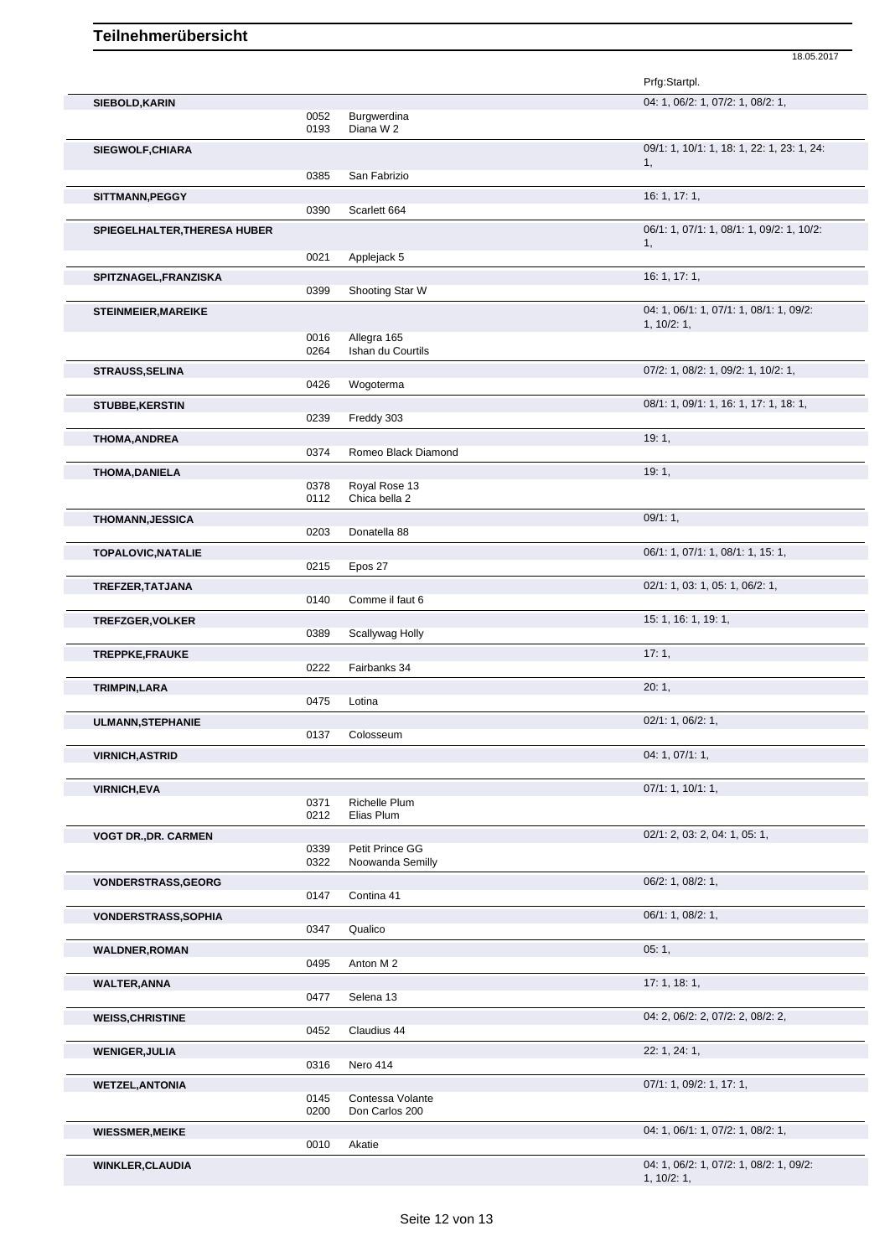|                              |              |                                     | 18.05.2017                                            |
|------------------------------|--------------|-------------------------------------|-------------------------------------------------------|
|                              |              |                                     | Prfg:Startpl.                                         |
| SIEBOLD, KARIN               |              |                                     | 04: 1, 06/2: 1, 07/2: 1, 08/2: 1,                     |
|                              | 0052<br>0193 | Burgwerdina<br>Diana W 2            |                                                       |
| <b>SIEGWOLF, CHIARA</b>      |              |                                     | 09/1: 1, 10/1: 1, 18: 1, 22: 1, 23: 1, 24:            |
|                              | 0385         | San Fabrizio                        | 1,                                                    |
| SITTMANN, PEGGY              |              |                                     | 16: 1, 17: 1,                                         |
|                              | 0390         | Scarlett 664                        |                                                       |
| SPIEGELHALTER, THERESA HUBER |              |                                     | 06/1: 1, 07/1: 1, 08/1: 1, 09/2: 1, 10/2:<br>1,       |
|                              | 0021         | Applejack 5                         |                                                       |
| SPITZNAGEL, FRANZISKA        |              |                                     | 16: 1, 17: 1,                                         |
|                              | 0399         | Shooting Star W                     |                                                       |
| <b>STEINMEIER, MAREIKE</b>   |              |                                     | 04: 1, 06/1: 1, 07/1: 1, 08/1: 1, 09/2:<br>1, 10/2:1, |
|                              | 0016<br>0264 | Allegra 165<br>Ishan du Courtils    |                                                       |
|                              |              |                                     | 07/2: 1, 08/2: 1, 09/2: 1, 10/2: 1,                   |
| <b>STRAUSS, SELINA</b>       | 0426         | Wogoterma                           |                                                       |
| <b>STUBBE, KERSTIN</b>       |              |                                     | 08/1: 1, 09/1: 1, 16: 1, 17: 1, 18: 1,                |
|                              | 0239         | Freddy 303                          |                                                       |
| <b>THOMA, ANDREA</b>         | 0374         | Romeo Black Diamond                 | 19:1,                                                 |
|                              |              |                                     |                                                       |
| <b>THOMA, DANIELA</b>        | 0378         | Royal Rose 13                       | 19:1,                                                 |
|                              | 0112         | Chica bella 2                       |                                                       |
| THOMANN, JESSICA             |              |                                     | 09/1:1,                                               |
|                              | 0203         | Donatella 88                        |                                                       |
| <b>TOPALOVIC, NATALIE</b>    |              |                                     | 06/1: 1, 07/1: 1, 08/1: 1, 15: 1,                     |
|                              | 0215         | Epos 27                             |                                                       |
| TREFZER, TATJANA             |              |                                     | 02/1: 1, 03: 1, 05: 1, 06/2: 1,                       |
|                              | 0140         | Comme il faut 6                     |                                                       |
| TREFZGER, VOLKER             |              |                                     | 15: 1, 16: 1, 19: 1,                                  |
|                              | 0389         | Scallywag Holly                     |                                                       |
| TREPPKE, FRAUKE              | 0222         |                                     | 17:1,                                                 |
|                              |              | Fairbanks 34                        |                                                       |
| TRIMPIN, LARA                | 0475         | Lotina                              | 20:1,                                                 |
|                              |              |                                     | 02/1: 1, 06/2: 1,                                     |
| <b>ULMANN, STEPHANIE</b>     | 0137         | Colosseum                           |                                                       |
| <b>VIRNICH, ASTRID</b>       |              |                                     | 04:1,07/1:1,                                          |
|                              |              |                                     |                                                       |
| <b>VIRNICH, EVA</b>          |              |                                     | 07/1: 1, 10/1: 1,                                     |
|                              | 0371         | Richelle Plum                       |                                                       |
|                              | 0212         | Elias Plum                          |                                                       |
| <b>VOGT DR., DR. CARMEN</b>  |              |                                     | 02/1: 2, 03: 2, 04: 1, 05: 1,                         |
|                              | 0339<br>0322 | Petit Prince GG<br>Noowanda Semilly |                                                       |
| VONDERSTRASS, GEORG          |              |                                     | 06/2: 1, 08/2: 1,                                     |
|                              | 0147         | Contina 41                          |                                                       |
| <b>VONDERSTRASS, SOPHIA</b>  |              |                                     | 06/1: 1, 08/2: 1,                                     |
|                              | 0347         | Qualico                             |                                                       |
| <b>WALDNER, ROMAN</b>        |              |                                     | 05:1,                                                 |
|                              | 0495         | Anton M 2                           |                                                       |
| <b>WALTER, ANNA</b>          |              |                                     | 17:1, 18:1,                                           |
|                              | 0477         | Selena 13                           |                                                       |
| <b>WEISS, CHRISTINE</b>      |              |                                     | 04: 2, 06/2: 2, 07/2: 2, 08/2: 2,                     |
|                              | 0452         | Claudius 44                         |                                                       |

| U404.        |                                                                         |
|--------------|-------------------------------------------------------------------------|
|              | 22: 1, 24: 1,                                                           |
| 0316         |                                                                         |
|              | 07/1: 1, 09/2: 1, 17: 1,                                                |
| 0145<br>0200 |                                                                         |
|              | 04: 1, 06/1: 1, 07/2: 1, 08/2: 1,                                       |
| 0010         |                                                                         |
|              | 04: 1, 06/2: 1, 07/2: 1, 08/2: 1, 09/2:<br>1, 10/2: 1,                  |
|              | Giduulus 44<br>Nero 414<br>Contessa Volante<br>Don Carlos 200<br>Akatie |